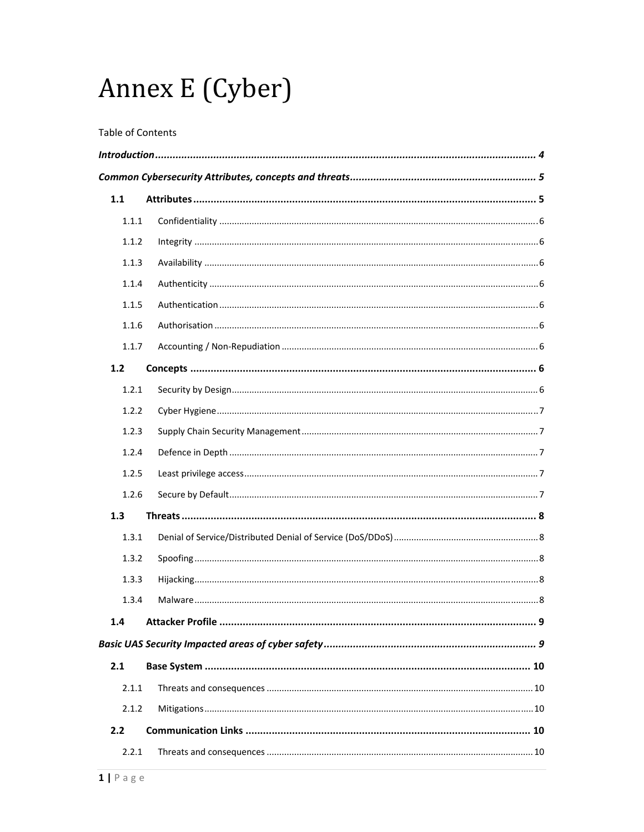# Annex E (Cyber)

#### Table of Contents

| 1.1   |  |
|-------|--|
| 1.1.1 |  |
| 1.1.2 |  |
| 1.1.3 |  |
| 1.1.4 |  |
| 1.1.5 |  |
| 1.1.6 |  |
| 1.1.7 |  |
| 1.2   |  |
| 1.2.1 |  |
| 1.2.2 |  |
| 1.2.3 |  |
| 1.2.4 |  |
| 1.2.5 |  |
| 1.2.6 |  |
| 1.3   |  |
| 1.3.1 |  |
| 1.3.2 |  |
| 1.3.3 |  |
| 1.3.4 |  |
| 1.4   |  |
|       |  |
| 2.1   |  |
| 2.1.1 |  |
| 2.1.2 |  |
| 2.2   |  |
| 2.2.1 |  |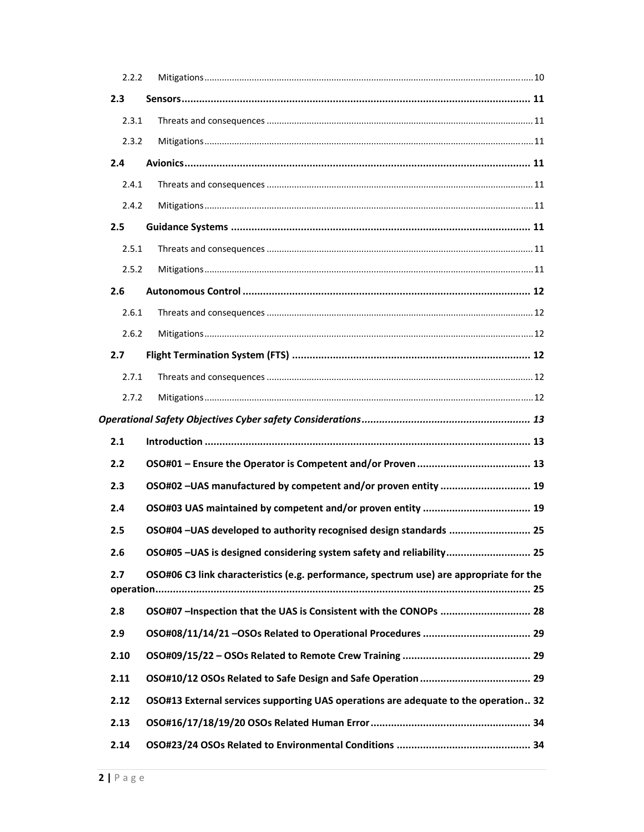| 2.2.2 |                                                                                         |  |
|-------|-----------------------------------------------------------------------------------------|--|
| 2.3   |                                                                                         |  |
| 2.3.1 |                                                                                         |  |
| 2.3.2 |                                                                                         |  |
| 2.4   |                                                                                         |  |
| 2.4.1 |                                                                                         |  |
| 2.4.2 |                                                                                         |  |
| 2.5   |                                                                                         |  |
| 2.5.1 |                                                                                         |  |
| 2.5.2 |                                                                                         |  |
| 2.6   |                                                                                         |  |
| 2.6.1 |                                                                                         |  |
| 2.6.2 |                                                                                         |  |
| 2.7   |                                                                                         |  |
| 2.7.1 |                                                                                         |  |
| 2.7.2 |                                                                                         |  |
|       |                                                                                         |  |
| 2.1   |                                                                                         |  |
| 2.2   |                                                                                         |  |
| 2.3   | OSO#02-UAS manufactured by competent and/or proven entity  19                           |  |
| 2.4   |                                                                                         |  |
| 2.5   | OSO#04-UAS developed to authority recognised design standards  25                       |  |
| 2.6   | OSO#05 - UAS is designed considering system safety and reliability 25                   |  |
| 2.7   | OSO#06 C3 link characteristics (e.g. performance, spectrum use) are appropriate for the |  |
| 2.8   | OSO#07 -Inspection that the UAS is Consistent with the CONOPs  28                       |  |
| 2.9   |                                                                                         |  |
| 2.10  |                                                                                         |  |
| 2.11  |                                                                                         |  |
| 2.12  | OSO#13 External services supporting UAS operations are adequate to the operation 32     |  |
| 2.13  |                                                                                         |  |
| 2.14  |                                                                                         |  |
|       |                                                                                         |  |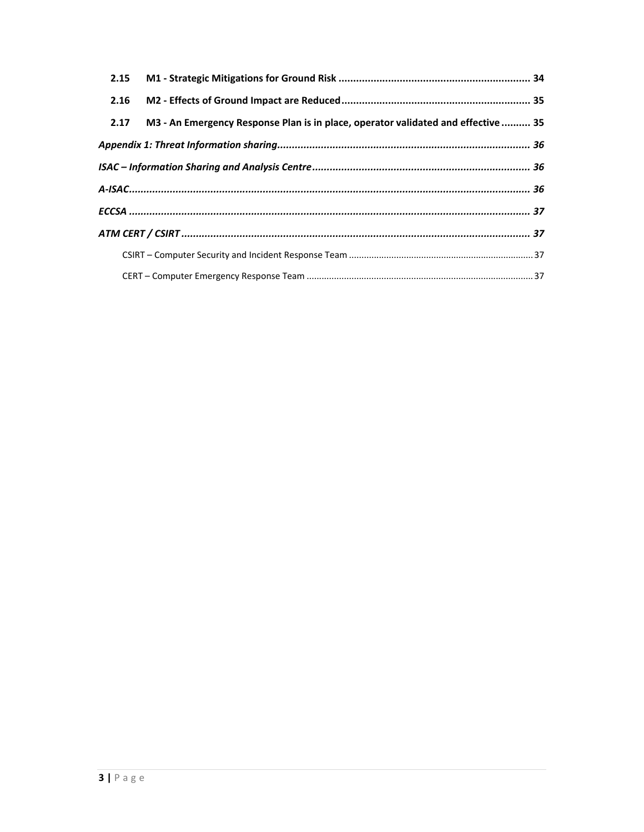| 2.17 | M3 - An Emergency Response Plan is in place, operator validated and effective  35 |  |
|------|-----------------------------------------------------------------------------------|--|
|      |                                                                                   |  |
|      |                                                                                   |  |
|      |                                                                                   |  |
|      |                                                                                   |  |
|      |                                                                                   |  |
|      |                                                                                   |  |
|      |                                                                                   |  |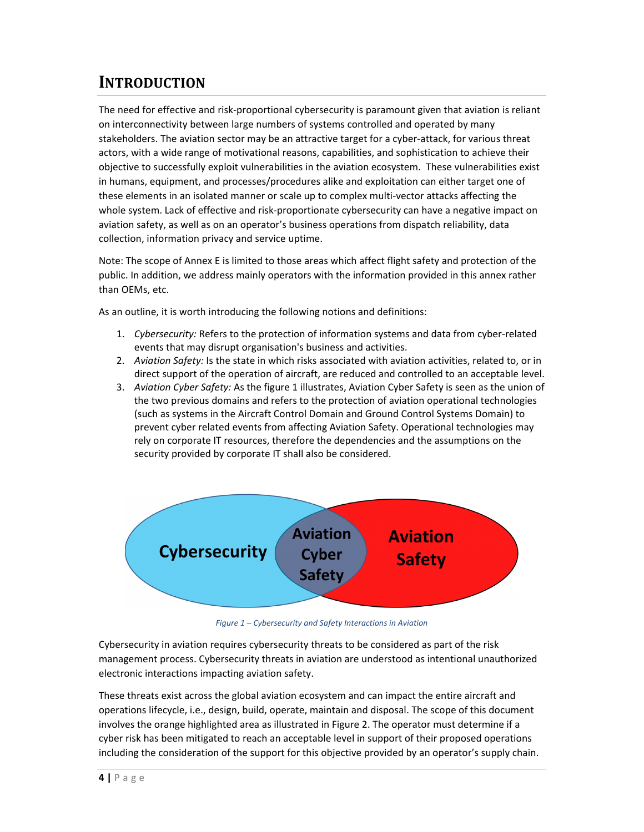# **INTRODUCTION**

The need for effective and risk‐proportional cybersecurity is paramount given that aviation is reliant on interconnectivity between large numbers of systems controlled and operated by many stakeholders. The aviation sector may be an attractive target for a cyber‐attack, for various threat actors, with a wide range of motivational reasons, capabilities, and sophistication to achieve their objective to successfully exploit vulnerabilities in the aviation ecosystem. These vulnerabilities exist in humans, equipment, and processes/procedures alike and exploitation can either target one of these elements in an isolated manner or scale up to complex multi‐vector attacks affecting the whole system. Lack of effective and risk‐proportionate cybersecurity can have a negative impact on aviation safety, as well as on an operator's business operations from dispatch reliability, data collection, information privacy and service uptime.

Note: The scope of Annex E is limited to those areas which affect flight safety and protection of the public. In addition, we address mainly operators with the information provided in this annex rather than OEMs, etc.

As an outline, it is worth introducing the following notions and definitions:

- 1. *Cybersecurity:* Refers to the protection of information systems and data from cyber‐related events that may disrupt organisation's business and activities.
- 2. *Aviation Safety:* Is the state in which risks associated with aviation activities, related to, or in direct support of the operation of aircraft, are reduced and controlled to an acceptable level.
- 3. *Aviation Cyber Safety:* As the figure 1 illustrates, Aviation Cyber Safety is seen as the union of the two previous domains and refers to the protection of aviation operational technologies (such as systems in the Aircraft Control Domain and Ground Control Systems Domain) to prevent cyber related events from affecting Aviation Safety. Operational technologies may rely on corporate IT resources, therefore the dependencies and the assumptions on the security provided by corporate IT shall also be considered.



*Figure 1 – Cybersecurity and Safety Interactions in Aviation*

Cybersecurity in aviation requires cybersecurity threats to be considered as part of the risk management process. Cybersecurity threats in aviation are understood as intentional unauthorized electronic interactions impacting aviation safety.

These threats exist across the global aviation ecosystem and can impact the entire aircraft and operations lifecycle, i.e., design, build, operate, maintain and disposal. The scope of this document involves the orange highlighted area as illustrated in Figure 2. The operator must determine if a cyber risk has been mitigated to reach an acceptable level in support of their proposed operations including the consideration of the support for this objective provided by an operator's supply chain.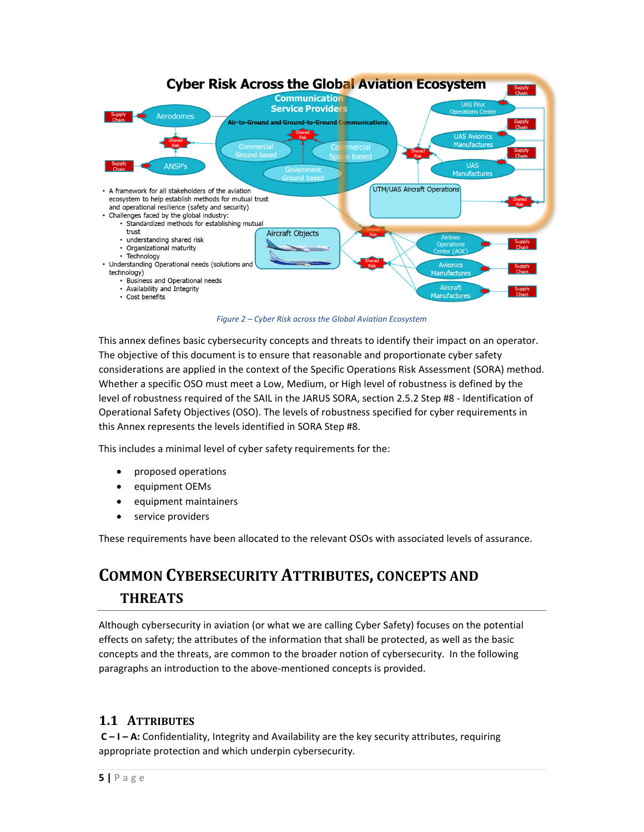

*Figure 2 – Cyber Risk across the Global Aviation Ecosystem*

This annex defines basic cybersecurity concepts and threats to identify their impact on an operator. The objective of this document is to ensure that reasonable and proportionate cyber safety considerations are applied in the context of the Specific Operations Risk Assessment (SORA) method. Whether a specific OSO must meet a Low, Medium, or High level of robustness is defined by the level of robustness required of the SAIL in the JARUS SORA, section 2.5.2 Step #8 ‐ Identification of Operational Safety Objectives (OSO). The levels of robustness specified for cyber requirements in this Annex represents the levels identified in SORA Step #8.

This includes a minimal level of cyber safety requirements for the:

- proposed operations
- equipment OEMs
- equipment maintainers
- service providers

These requirements have been allocated to the relevant OSOs with associated levels of assurance.

# **COMMON CYBERSECURITY ATTRIBUTES, CONCEPTS AND THREATS**

Although cybersecurity in aviation (or what we are calling Cyber Safety) focuses on the potential effects on safety; the attributes of the information that shall be protected, as well as the basic concepts and the threats, are common to the broader notion of cybersecurity. In the following paragraphs an introduction to the above‐mentioned concepts is provided.

# **1.1 ATTRIBUTES**

**C – I – A:** Confidentiality, Integrity and Availability are the key security attributes, requiring appropriate protection and which underpin cybersecurity.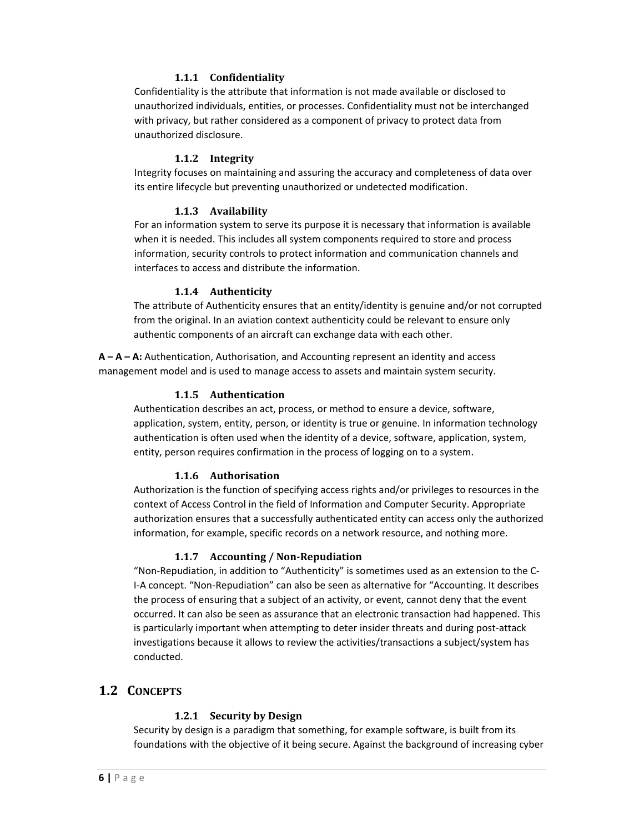#### **1.1.1 Confidentiality**

Confidentiality is the attribute that information is not made available or disclosed to unauthorized individuals, entities, or processes. Confidentiality must not be interchanged with privacy, but rather considered as a component of privacy to protect data from unauthorized disclosure.

#### **1.1.2 Integrity**

Integrity focuses on maintaining and assuring the accuracy and completeness of data over its entire lifecycle but preventing unauthorized or undetected modification.

#### **1.1.3 Availability**

For an information system to serve its purpose it is necessary that information is available when it is needed. This includes all system components required to store and process information, security controls to protect information and communication channels and interfaces to access and distribute the information.

#### **1.1.4 Authenticity**

The attribute of Authenticity ensures that an entity/identity is genuine and/or not corrupted from the original. In an aviation context authenticity could be relevant to ensure only authentic components of an aircraft can exchange data with each other.

**A – A – A:** Authentication, Authorisation, and Accounting represent an identity and access management model and is used to manage access to assets and maintain system security.

#### **1.1.5 Authentication**

Authentication describes an act, process, or method to ensure a device, software, application, system, entity, person, or identity is true or genuine. In information technology authentication is often used when the identity of a device, software, application, system, entity, person requires confirmation in the process of logging on to a system.

#### **1.1.6 Authorisation**

Authorization is the function of specifying access rights and/or privileges to resources in the context of Access Control in the field of Information and Computer Security. Appropriate authorization ensures that a successfully authenticated entity can access only the authorized information, for example, specific records on a network resource, and nothing more.

#### **1.1.7 Accounting / Non‐Repudiation**

"Non‐Repudiation, in addition to "Authenticity" is sometimes used as an extension to the C‐ I‐A concept. "Non‐Repudiation" can also be seen as alternative for "Accounting. It describes the process of ensuring that a subject of an activity, or event, cannot deny that the event occurred. It can also be seen as assurance that an electronic transaction had happened. This is particularly important when attempting to deter insider threats and during post-attack investigations because it allows to review the activities/transactions a subject/system has conducted.

#### **1.2 CONCEPTS**

#### **1.2.1 Security by Design**

Security by design is a paradigm that something, for example software, is built from its foundations with the objective of it being secure. Against the background of increasing cyber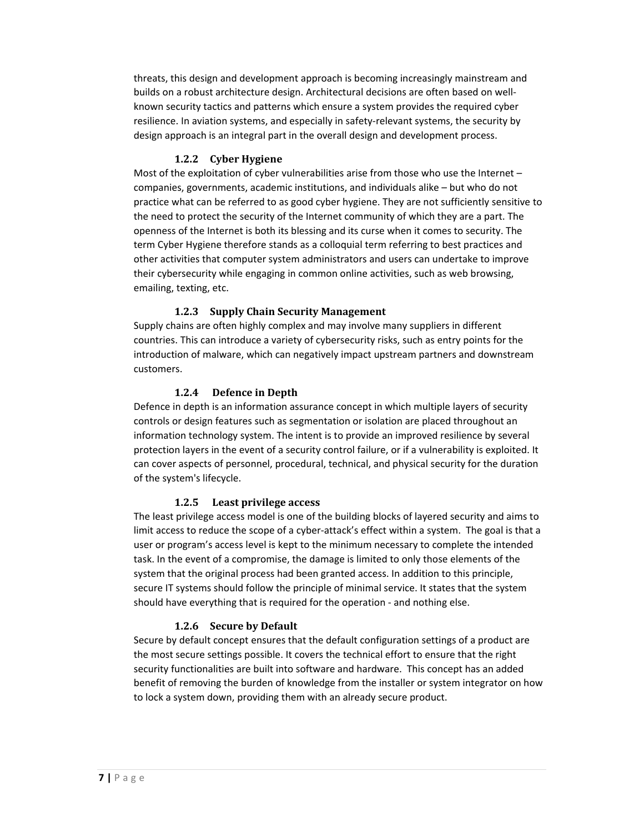threats, this design and development approach is becoming increasingly mainstream and builds on a robust architecture design. Architectural decisions are often based on well‐ known security tactics and patterns which ensure a system provides the required cyber resilience. In aviation systems, and especially in safety-relevant systems, the security by design approach is an integral part in the overall design and development process.

#### **1.2.2 Cyber Hygiene**

Most of the exploitation of cyber vulnerabilities arise from those who use the Internet companies, governments, academic institutions, and individuals alike – but who do not practice what can be referred to as good cyber hygiene. They are not sufficiently sensitive to the need to protect the security of the Internet community of which they are a part. The openness of the Internet is both its blessing and its curse when it comes to security. The term Cyber Hygiene therefore stands as a colloquial term referring to best practices and other activities that computer system administrators and users can undertake to improve their cybersecurity while engaging in common online activities, such as web browsing, emailing, texting, etc.

#### **1.2.3 Supply Chain Security Management**

Supply chains are often highly complex and may involve many suppliers in different countries. This can introduce a variety of cybersecurity risks, such as entry points for the introduction of malware, which can negatively impact upstream partners and downstream customers.

#### **1.2.4 Defence in Depth**

Defence in depth is an information assurance concept in which multiple layers of security controls or design features such as segmentation or isolation are placed throughout an information technology system. The intent is to provide an improved resilience by several protection layers in the event of a security control failure, or if a vulnerability is exploited. It can cover aspects of personnel, procedural, technical, and physical security for the duration of the system's lifecycle.

#### **1.2.5 Least privilege access**

The least privilege access model is one of the building blocks of layered security and aims to limit access to reduce the scope of a cyber-attack's effect within a system. The goal is that a user or program's access level is kept to the minimum necessary to complete the intended task. In the event of a compromise, the damage is limited to only those elements of the system that the original process had been granted access. In addition to this principle, secure IT systems should follow the principle of minimal service. It states that the system should have everything that is required for the operation ‐ and nothing else.

#### **1.2.6 Secure by Default**

Secure by default concept ensures that the default configuration settings of a product are the most secure settings possible. It covers the technical effort to ensure that the right security functionalities are built into software and hardware. This concept has an added benefit of removing the burden of knowledge from the installer or system integrator on how to lock a system down, providing them with an already secure product.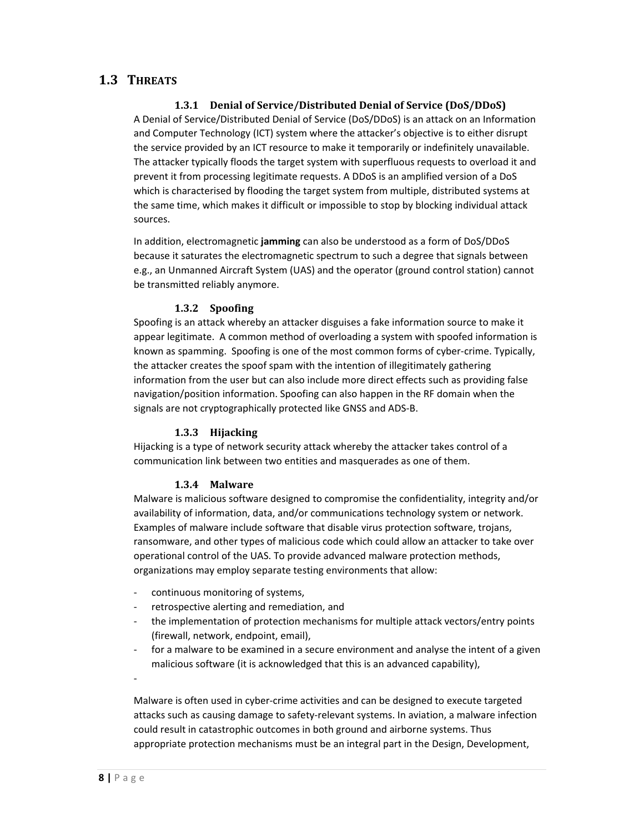# **1.3 THREATS**

#### **1.3.1 Denial of Service/Distributed Denial of Service (DoS/DDoS)**

A Denial of Service/Distributed Denial of Service (DoS/DDoS) is an attack on an Information and Computer Technology (ICT) system where the attacker's objective is to either disrupt the service provided by an ICT resource to make it temporarily or indefinitely unavailable. The attacker typically floods the target system with superfluous requests to overload it and prevent it from processing legitimate requests. A DDoS is an amplified version of a DoS which is characterised by flooding the target system from multiple, distributed systems at the same time, which makes it difficult or impossible to stop by blocking individual attack sources.

In addition, electromagnetic **jamming** can also be understood as a form of DoS/DDoS because it saturates the electromagnetic spectrum to such a degree that signals between e.g., an Unmanned Aircraft System (UAS) and the operator (ground control station) cannot be transmitted reliably anymore.

#### **1.3.2 Spoofing**

Spoofing is an attack whereby an attacker disguises a fake information source to make it appear legitimate. A common method of overloading a system with spoofed information is known as spamming. Spoofing is one of the most common forms of cyber-crime. Typically, the attacker creates the spoof spam with the intention of illegitimately gathering information from the user but can also include more direct effects such as providing false navigation/position information. Spoofing can also happen in the RF domain when the signals are not cryptographically protected like GNSS and ADS‐B.

#### **1.3.3 Hijacking**

Hijacking is a type of network security attack whereby the attacker takes control of a communication link between two entities and masquerades as one of them.

#### **1.3.4 Malware**

Malware is malicious software designed to compromise the confidentiality, integrity and/or availability of information, data, and/or communications technology system or network. Examples of malware include software that disable virus protection software, trojans, ransomware, and other types of malicious code which could allow an attacker to take over operational control of the UAS. To provide advanced malware protection methods, organizations may employ separate testing environments that allow:

- ‐ continuous monitoring of systems,
- ‐ retrospective alerting and remediation, and
- the implementation of protection mechanisms for multiple attack vectors/entry points (firewall, network, endpoint, email),
- ‐ for a malware to be examined in a secure environment and analyse the intent of a given malicious software (it is acknowledged that this is an advanced capability),

Malware is often used in cyber‐crime activities and can be designed to execute targeted attacks such as causing damage to safety-relevant systems. In aviation, a malware infection could result in catastrophic outcomes in both ground and airborne systems. Thus appropriate protection mechanisms must be an integral part in the Design, Development,

‐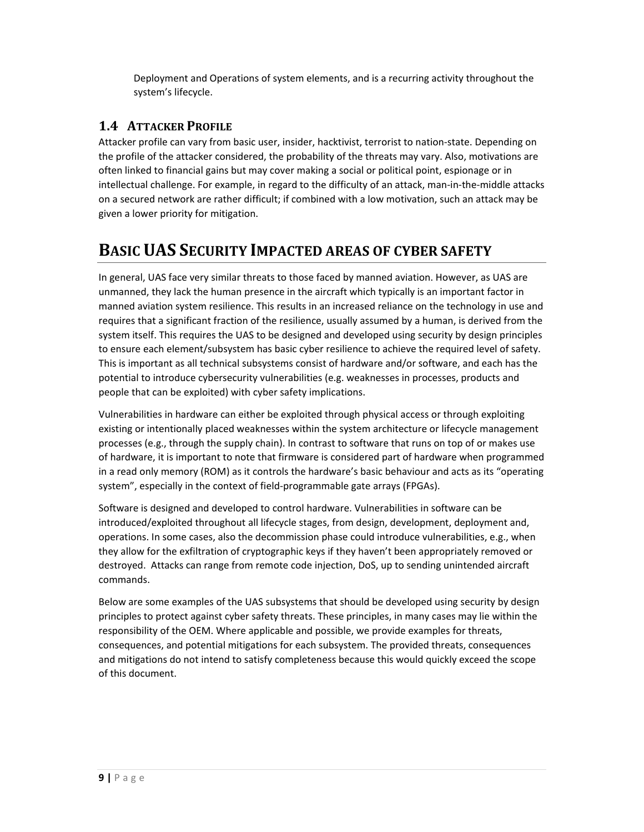Deployment and Operations of system elements, and is a recurring activity throughout the system's lifecycle.

# **1.4 ATTACKER PROFILE**

Attacker profile can vary from basic user, insider, hacktivist, terrorist to nation‐state. Depending on the profile of the attacker considered, the probability of the threats may vary. Also, motivations are often linked to financial gains but may cover making a social or political point, espionage or in intellectual challenge. For example, in regard to the difficulty of an attack, man‐in‐the‐middle attacks on a secured network are rather difficult; if combined with a low motivation, such an attack may be given a lower priority for mitigation.

# **BASIC UAS SECURITY IMPACTED AREAS OF CYBER SAFETY**

In general, UAS face very similar threats to those faced by manned aviation. However, as UAS are unmanned, they lack the human presence in the aircraft which typically is an important factor in manned aviation system resilience. This results in an increased reliance on the technology in use and requires that a significant fraction of the resilience, usually assumed by a human, is derived from the system itself. This requires the UAS to be designed and developed using security by design principles to ensure each element/subsystem has basic cyber resilience to achieve the required level of safety. This is important as all technical subsystems consist of hardware and/or software, and each has the potential to introduce cybersecurity vulnerabilities (e.g. weaknesses in processes, products and people that can be exploited) with cyber safety implications.

Vulnerabilities in hardware can either be exploited through physical access or through exploiting existing or intentionally placed weaknesses within the system architecture or lifecycle management processes (e.g., through the supply chain). In contrast to software that runs on top of or makes use of hardware, it is important to note that firmware is considered part of hardware when programmed in a read only memory (ROM) as it controls the hardware's basic behaviour and acts as its "operating system", especially in the context of field-programmable gate arrays (FPGAs).

Software is designed and developed to control hardware. Vulnerabilities in software can be introduced/exploited throughout all lifecycle stages, from design, development, deployment and, operations. In some cases, also the decommission phase could introduce vulnerabilities, e.g., when they allow for the exfiltration of cryptographic keys if they haven't been appropriately removed or destroyed. Attacks can range from remote code injection, DoS, up to sending unintended aircraft commands.

Below are some examples of the UAS subsystems that should be developed using security by design principles to protect against cyber safety threats. These principles, in many cases may lie within the responsibility of the OEM. Where applicable and possible, we provide examples for threats, consequences, and potential mitigations for each subsystem. The provided threats, consequences and mitigations do not intend to satisfy completeness because this would quickly exceed the scope of this document.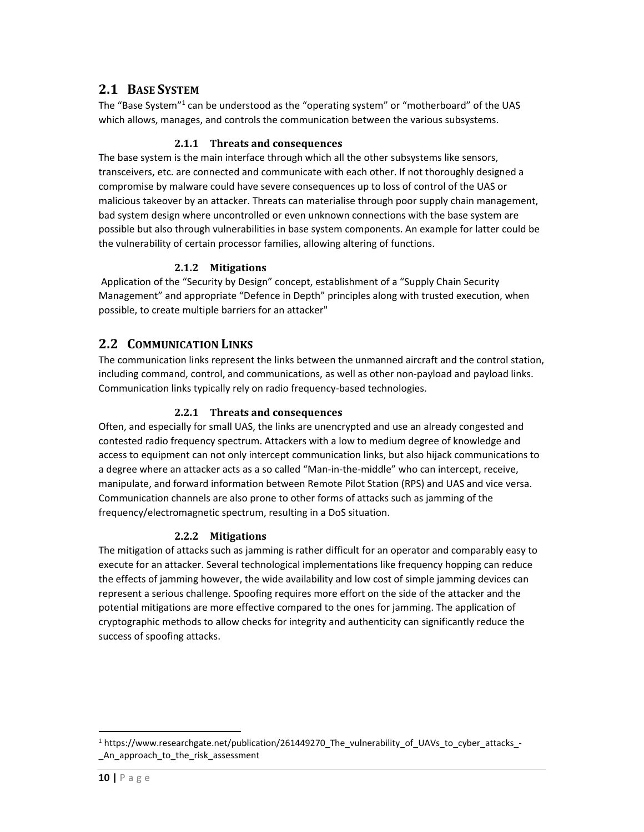# **2.1 BASE SYSTEM**

The "Base System"<sup>1</sup> can be understood as the "operating system" or "motherboard" of the UAS which allows, manages, and controls the communication between the various subsystems.

#### **2.1.1 Threats and consequences**

The base system is the main interface through which all the other subsystems like sensors, transceivers, etc. are connected and communicate with each other. If not thoroughly designed a compromise by malware could have severe consequences up to loss of control of the UAS or malicious takeover by an attacker. Threats can materialise through poor supply chain management, bad system design where uncontrolled or even unknown connections with the base system are possible but also through vulnerabilities in base system components. An example for latter could be the vulnerability of certain processor families, allowing altering of functions.

#### **2.1.2 Mitigations**

Application of the "Security by Design" concept, establishment of a "Supply Chain Security Management" and appropriate "Defence in Depth" principles along with trusted execution, when possible, to create multiple barriers for an attacker"

# **2.2 COMMUNICATION LINKS**

The communication links represent the links between the unmanned aircraft and the control station, including command, control, and communications, as well as other non‐payload and payload links. Communication links typically rely on radio frequency‐based technologies.

#### **2.2.1 Threats and consequences**

Often, and especially for small UAS, the links are unencrypted and use an already congested and contested radio frequency spectrum. Attackers with a low to medium degree of knowledge and access to equipment can not only intercept communication links, but also hijack communications to a degree where an attacker acts as a so called "Man‐in‐the‐middle" who can intercept, receive, manipulate, and forward information between Remote Pilot Station (RPS) and UAS and vice versa. Communication channels are also prone to other forms of attacks such as jamming of the frequency/electromagnetic spectrum, resulting in a DoS situation.

#### **2.2.2 Mitigations**

The mitigation of attacks such as jamming is rather difficult for an operator and comparably easy to execute for an attacker. Several technological implementations like frequency hopping can reduce the effects of jamming however, the wide availability and low cost of simple jamming devices can represent a serious challenge. Spoofing requires more effort on the side of the attacker and the potential mitigations are more effective compared to the ones for jamming. The application of cryptographic methods to allow checks for integrity and authenticity can significantly reduce the success of spoofing attacks.

<sup>&</sup>lt;sup>1</sup> https://www.researchgate.net/publication/261449270 The vulnerability of UAVs to cyber attacks -An approach to the risk assessment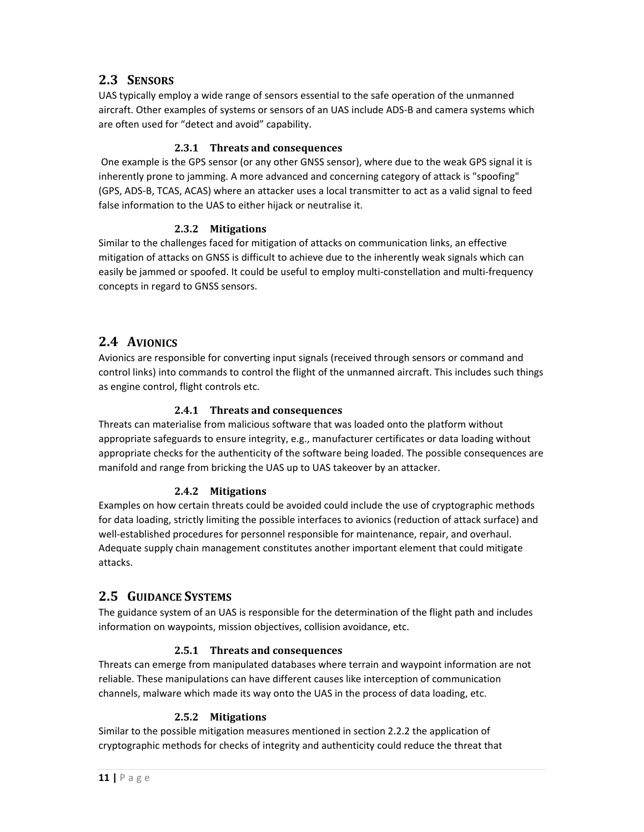# **2.3 SENSORS**

UAS typically employ a wide range of sensors essential to the safe operation of the unmanned aircraft. Other examples of systems or sensors of an UAS include ADS‐B and camera systems which are often used for "detect and avoid" capability.

### **2.3.1 Threats and consequences**

One example is the GPS sensor (or any other GNSS sensor), where due to the weak GPS signal it is inherently prone to jamming. A more advanced and concerning category of attack is "spoofing" (GPS, ADS‐B, TCAS, ACAS) where an attacker uses a local transmitter to act as a valid signal to feed false information to the UAS to either hijack or neutralise it.

#### **2.3.2 Mitigations**

Similar to the challenges faced for mitigation of attacks on communication links, an effective mitigation of attacks on GNSS is difficult to achieve due to the inherently weak signals which can easily be jammed or spoofed. It could be useful to employ multi‐constellation and multi‐frequency concepts in regard to GNSS sensors.

# **2.4 AVIONICS**

Avionics are responsible for converting input signals (received through sensors or command and control links) into commands to control the flight of the unmanned aircraft. This includes such things as engine control, flight controls etc.

#### **2.4.1 Threats and consequences**

Threats can materialise from malicious software that was loaded onto the platform without appropriate safeguards to ensure integrity, e.g., manufacturer certificates or data loading without appropriate checks for the authenticity of the software being loaded. The possible consequences are manifold and range from bricking the UAS up to UAS takeover by an attacker.

# **2.4.2 Mitigations**

Examples on how certain threats could be avoided could include the use of cryptographic methods for data loading, strictly limiting the possible interfaces to avionics (reduction of attack surface) and well‐established procedures for personnel responsible for maintenance, repair, and overhaul. Adequate supply chain management constitutes another important element that could mitigate attacks.

# **2.5 GUIDANCE SYSTEMS**

The guidance system of an UAS is responsible for the determination of the flight path and includes information on waypoints, mission objectives, collision avoidance, etc.

# **2.5.1 Threats and consequences**

Threats can emerge from manipulated databases where terrain and waypoint information are not reliable. These manipulations can have different causes like interception of communication channels, malware which made its way onto the UAS in the process of data loading, etc.

#### **2.5.2 Mitigations**

Similar to the possible mitigation measures mentioned in section 2.2.2 the application of cryptographic methods for checks of integrity and authenticity could reduce the threat that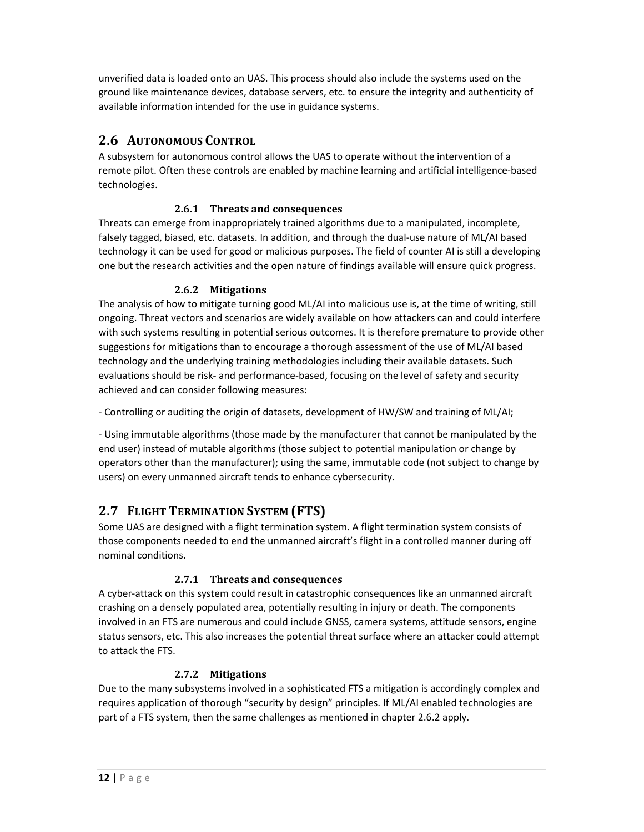unverified data is loaded onto an UAS. This process should also include the systems used on the ground like maintenance devices, database servers, etc. to ensure the integrity and authenticity of available information intended for the use in guidance systems.

# **2.6 AUTONOMOUS CONTROL**

A subsystem for autonomous control allows the UAS to operate without the intervention of a remote pilot. Often these controls are enabled by machine learning and artificial intelligence‐based technologies.

### **2.6.1 Threats and consequences**

Threats can emerge from inappropriately trained algorithms due to a manipulated, incomplete, falsely tagged, biased, etc. datasets. In addition, and through the dual‐use nature of ML/AI based technology it can be used for good or malicious purposes. The field of counter AI is still a developing one but the research activities and the open nature of findings available will ensure quick progress.

# **2.6.2 Mitigations**

The analysis of how to mitigate turning good ML/AI into malicious use is, at the time of writing, still ongoing. Threat vectors and scenarios are widely available on how attackers can and could interfere with such systems resulting in potential serious outcomes. It is therefore premature to provide other suggestions for mitigations than to encourage a thorough assessment of the use of ML/AI based technology and the underlying training methodologies including their available datasets. Such evaluations should be risk‐ and performance‐based, focusing on the level of safety and security achieved and can consider following measures:

‐ Controlling or auditing the origin of datasets, development of HW/SW and training of ML/AI;

‐ Using immutable algorithms (those made by the manufacturer that cannot be manipulated by the end user) instead of mutable algorithms (those subject to potential manipulation or change by operators other than the manufacturer); using the same, immutable code (not subject to change by users) on every unmanned aircraft tends to enhance cybersecurity.

# **2.7 FLIGHT TERMINATION SYSTEM (FTS)**

Some UAS are designed with a flight termination system. A flight termination system consists of those components needed to end the unmanned aircraft's flight in a controlled manner during off nominal conditions.

#### **2.7.1 Threats and consequences**

A cyber‐attack on this system could result in catastrophic consequences like an unmanned aircraft crashing on a densely populated area, potentially resulting in injury or death. The components involved in an FTS are numerous and could include GNSS, camera systems, attitude sensors, engine status sensors, etc. This also increases the potential threat surface where an attacker could attempt to attack the FTS.

#### **2.7.2 Mitigations**

Due to the many subsystems involved in a sophisticated FTS a mitigation is accordingly complex and requires application of thorough "security by design" principles. If ML/AI enabled technologies are part of a FTS system, then the same challenges as mentioned in chapter 2.6.2 apply.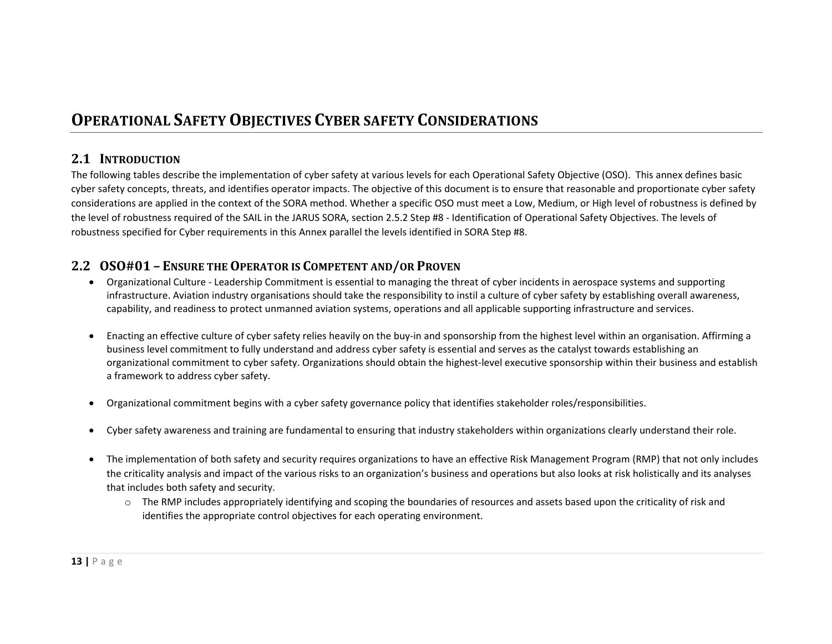# **OPERATIONAL SAFETYOBJECTIVES CYBER SAFETY CONSIDERATIONS**

# **2.1 INTRODUCTION**

The following tables describe the implementation of cyber safety at various levels for each Operational Safety Objective (OSO). This annex defines basic cyber safety concepts, threats, and identifies operator impacts. The objective of this document is to ensure that reasonable and proportionate cyber safety considerations are applied in the context of the SORA method. Whether <sup>a</sup> specific OSO must meet <sup>a</sup> Low, Medium, or High level of robustness is defined by the level of robustness required of the SAIL in the JARUS SORA, section 2.5.2 Step #8 ‐ Identification of Operational Safety Objectives. The levels of robustness specified for Cyber requirements in this Annex parallel the levels identified in SORA Step #8.

# **2.2 OSO#01 – ENSURE THEOPERATOR IS COMPETENT AND/OR PROVEN**

- $\bullet$  Organizational Culture ‐ Leadership Commitment is essential to managing the threat of cyber incidents in aerospace systems and supporting infrastructure. Aviation industry organisations should take the responsibility to instil <sup>a</sup> culture of cyber safety by establishing overall awareness, capability, and readiness to protect unmanned aviation systems, operations and all applicable supporting infrastructure and services.
- . Enacting an effective culture of cyber safety relies heavily on the buy‐in and sponsorship from the highest level within an organisation. Affirming <sup>a</sup> business level commitment to fully understand and address cyber safety is essential and serves as the catalyst towards establishing an organizational commitment to cyber safety. Organizations should obtain the highest-level executive sponsorship within their business and establish a framework to address cyber safety.
- $\bullet$ Organizational commitment begins with <sup>a</sup> cyber safety governance policy that identifies stakeholder roles/responsibilities.
- $\bullet$ Cyber safety awareness and training are fundamental to ensuring that industry stakeholders within organizations clearly understand their role.
- The implementation of both safety and security requires organizations to have an effective Risk Management Program (RMP) that not only includes the criticality analysis and impact of the various risks to an organization's business and operations but also looks at risk holistically and its analyses that includes both safety and security.
	- $\circ$  The RMP includes appropriately identifying and scoping the boundaries of resources and assets based upon the criticality of risk and identifies the appropriate control objectives for each operating environment.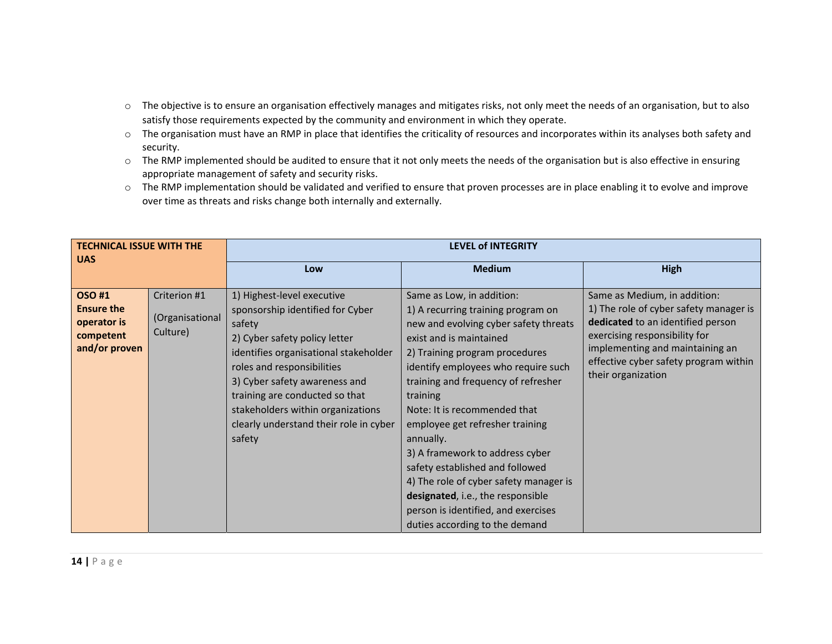- $\circ$  The objective is to ensure an organisation effectively manages and mitigates risks, not only meet the needs of an organisation, but to also satisfy those requirements expected by the community and environment in which they operate.
- $\circ$  The organisation must have an RMP in place that identifies the criticality of resources and incorporates within its analyses both safety and security.
- $\circ$  The RMP implemented should be audited to ensure that it not only meets the needs of the organisation but is also effective in ensuring appropriate management of safety and security risks.
- $\circ$  The RMP implementation should be validated and verified to ensure that proven processes are in place enabling it to evolve and improve over time as threats and risks change both internally and externally.

| <b>TECHNICAL ISSUE WITH THE</b><br><b>UAS</b>                                  |                                             | <b>LEVEL of INTEGRITY</b>                                                                                                                                                                                                                                                                                                                    |                                                                                                                                                                                                                                                                                                                                                                                                                                                                                                                                                                               |                                                                                                                                                                                                                                                |  |
|--------------------------------------------------------------------------------|---------------------------------------------|----------------------------------------------------------------------------------------------------------------------------------------------------------------------------------------------------------------------------------------------------------------------------------------------------------------------------------------------|-------------------------------------------------------------------------------------------------------------------------------------------------------------------------------------------------------------------------------------------------------------------------------------------------------------------------------------------------------------------------------------------------------------------------------------------------------------------------------------------------------------------------------------------------------------------------------|------------------------------------------------------------------------------------------------------------------------------------------------------------------------------------------------------------------------------------------------|--|
|                                                                                |                                             | Low                                                                                                                                                                                                                                                                                                                                          | <b>Medium</b>                                                                                                                                                                                                                                                                                                                                                                                                                                                                                                                                                                 | <b>High</b>                                                                                                                                                                                                                                    |  |
| <b>OSO#1</b><br><b>Ensure the</b><br>operator is<br>competent<br>and/or proven | Criterion #1<br>(Organisational<br>Culture) | 1) Highest-level executive<br>sponsorship identified for Cyber<br>safety<br>2) Cyber safety policy letter<br>identifies organisational stakeholder<br>roles and responsibilities<br>3) Cyber safety awareness and<br>training are conducted so that<br>stakeholders within organizations<br>clearly understand their role in cyber<br>safety | Same as Low, in addition:<br>1) A recurring training program on<br>new and evolving cyber safety threats<br>exist and is maintained<br>2) Training program procedures<br>identify employees who require such<br>training and frequency of refresher<br>training<br>Note: It is recommended that<br>employee get refresher training<br>annually.<br>3) A framework to address cyber<br>safety established and followed<br>4) The role of cyber safety manager is<br>designated, i.e., the responsible<br>person is identified, and exercises<br>duties according to the demand | Same as Medium, in addition:<br>1) The role of cyber safety manager is<br>dedicated to an identified person<br>exercising responsibility for<br>implementing and maintaining an<br>effective cyber safety program within<br>their organization |  |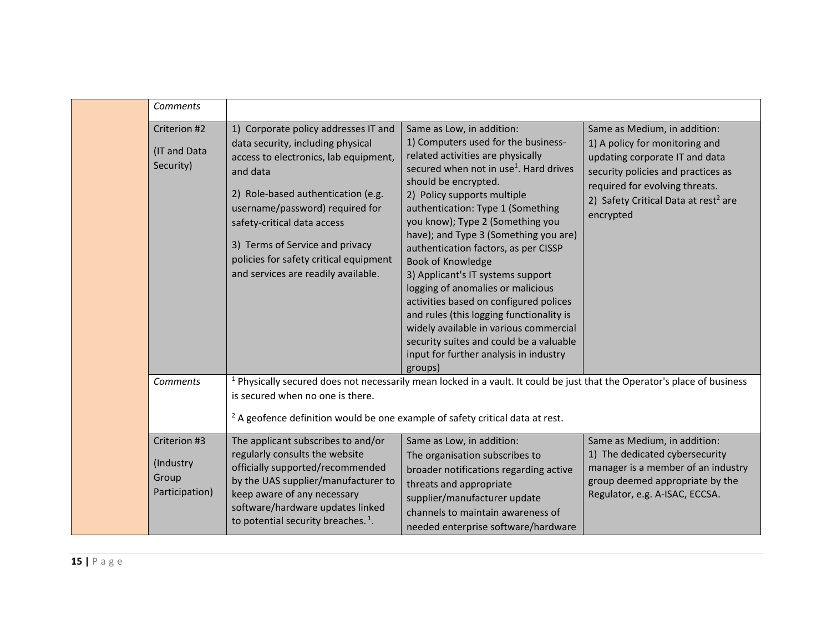|  | Comments                                             |                                                                                                                                                                                                                                                                                                                                                            |                                                                                                                                                                                                                                                                                                                                                                                                                                                                                                                                                                                                                                                                                                  |                                                                                                                                                                                                                                           |
|--|------------------------------------------------------|------------------------------------------------------------------------------------------------------------------------------------------------------------------------------------------------------------------------------------------------------------------------------------------------------------------------------------------------------------|--------------------------------------------------------------------------------------------------------------------------------------------------------------------------------------------------------------------------------------------------------------------------------------------------------------------------------------------------------------------------------------------------------------------------------------------------------------------------------------------------------------------------------------------------------------------------------------------------------------------------------------------------------------------------------------------------|-------------------------------------------------------------------------------------------------------------------------------------------------------------------------------------------------------------------------------------------|
|  | Criterion #2<br>(IT and Data<br>Security)            | 1) Corporate policy addresses IT and<br>data security, including physical<br>access to electronics, lab equipment,<br>and data<br>2) Role-based authentication (e.g.<br>username/password) required for<br>safety-critical data access<br>3) Terms of Service and privacy<br>policies for safety critical equipment<br>and services are readily available. | Same as Low, in addition:<br>1) Computers used for the business-<br>related activities are physically<br>secured when not in use <sup>1</sup> . Hard drives<br>should be encrypted.<br>2) Policy supports multiple<br>authentication: Type 1 (Something<br>you know); Type 2 (Something you<br>have); and Type 3 (Something you are)<br>authentication factors, as per CISSP<br>Book of Knowledge<br>3) Applicant's IT systems support<br>logging of anomalies or malicious<br>activities based on configured polices<br>and rules (this logging functionality is<br>widely available in various commercial<br>security suites and could be a valuable<br>input for further analysis in industry | Same as Medium, in addition:<br>1) A policy for monitoring and<br>updating corporate IT and data<br>security policies and practices as<br>required for evolving threats.<br>2) Safety Critical Data at rest <sup>2</sup> are<br>encrypted |
|  | <b>Comments</b>                                      | is secured when no one is there.<br><sup>2</sup> A geofence definition would be one example of safety critical data at rest.                                                                                                                                                                                                                               | groups)<br><sup>1</sup> Physically secured does not necessarily mean locked in a vault. It could be just that the Operator's place of business                                                                                                                                                                                                                                                                                                                                                                                                                                                                                                                                                   |                                                                                                                                                                                                                                           |
|  | Criterion #3<br>(Industry<br>Group<br>Participation) | The applicant subscribes to and/or<br>regularly consults the website<br>officially supported/recommended<br>by the UAS supplier/manufacturer to<br>keep aware of any necessary<br>software/hardware updates linked<br>to potential security breaches. <sup>1</sup> .                                                                                       | Same as Low, in addition:<br>The organisation subscribes to<br>broader notifications regarding active<br>threats and appropriate<br>supplier/manufacturer update<br>channels to maintain awareness of<br>needed enterprise software/hardware                                                                                                                                                                                                                                                                                                                                                                                                                                                     | Same as Medium, in addition:<br>1) The dedicated cybersecurity<br>manager is a member of an industry<br>group deemed appropriate by the<br>Regulator, e.g. A-ISAC, ECCSA.                                                                 |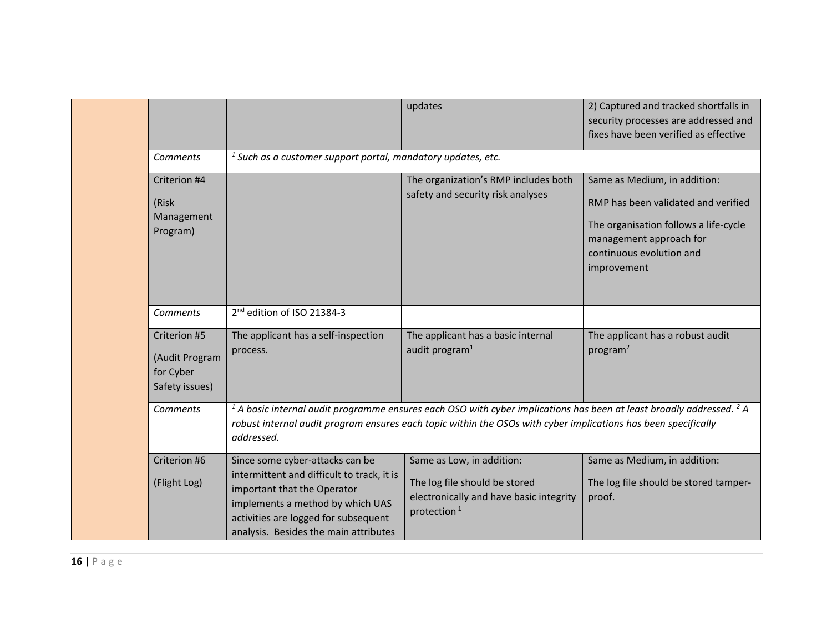|  |                                                               |                                                                                                                                                                                                                                   | updates                                                                                                                                                                                                                                    | 2) Captured and tracked shortfalls in<br>security processes are addressed and<br>fixes have been verified as effective                                                             |  |  |  |
|--|---------------------------------------------------------------|-----------------------------------------------------------------------------------------------------------------------------------------------------------------------------------------------------------------------------------|--------------------------------------------------------------------------------------------------------------------------------------------------------------------------------------------------------------------------------------------|------------------------------------------------------------------------------------------------------------------------------------------------------------------------------------|--|--|--|
|  | Comments                                                      |                                                                                                                                                                                                                                   | $1$ Such as a customer support portal, mandatory updates, etc.                                                                                                                                                                             |                                                                                                                                                                                    |  |  |  |
|  | Criterion #4<br>(Risk<br>Management<br>Program)               |                                                                                                                                                                                                                                   | The organization's RMP includes both<br>safety and security risk analyses                                                                                                                                                                  | Same as Medium, in addition:<br>RMP has been validated and verified<br>The organisation follows a life-cycle<br>management approach for<br>continuous evolution and<br>improvement |  |  |  |
|  | Comments                                                      | 2 <sup>nd</sup> edition of ISO 21384-3                                                                                                                                                                                            |                                                                                                                                                                                                                                            |                                                                                                                                                                                    |  |  |  |
|  | Criterion #5<br>(Audit Program<br>for Cyber<br>Safety issues) | The applicant has a self-inspection<br>process.                                                                                                                                                                                   | The applicant has a basic internal<br>audit program <sup>1</sup>                                                                                                                                                                           | The applicant has a robust audit<br>program <sup>2</sup>                                                                                                                           |  |  |  |
|  | Comments                                                      | addressed.                                                                                                                                                                                                                        | $1$ A basic internal audit programme ensures each OSO with cyber implications has been at least broadly addressed. $2$ A<br>robust internal audit program ensures each topic within the OSOs with cyber implications has been specifically |                                                                                                                                                                                    |  |  |  |
|  | Criterion #6<br>(Flight Log)                                  | Since some cyber-attacks can be<br>intermittent and difficult to track, it is<br>important that the Operator<br>implements a method by which UAS<br>activities are logged for subsequent<br>analysis. Besides the main attributes | Same as Low, in addition:<br>The log file should be stored<br>electronically and have basic integrity<br>protection <sup>1</sup>                                                                                                           | Same as Medium, in addition:<br>The log file should be stored tamper-<br>proof.                                                                                                    |  |  |  |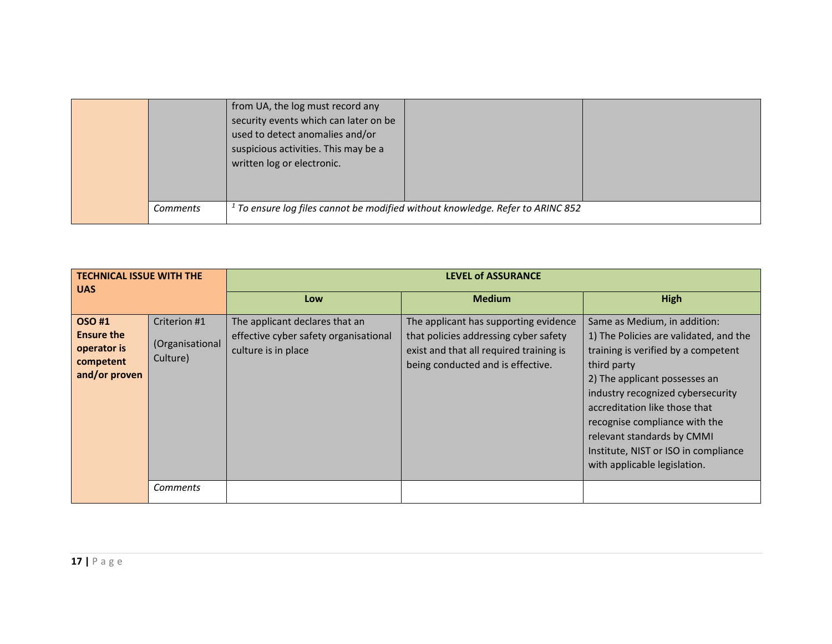|          | from UA, the log must record any<br>security events which can later on be<br>used to detect anomalies and/or<br>suspicious activities. This may be a<br>written log or electronic. |
|----------|------------------------------------------------------------------------------------------------------------------------------------------------------------------------------------|
| Comments | $1$ To ensure log files cannot be modified without knowledge. Refer to ARINC 852                                                                                                   |

| <b>TECHNICAL ISSUE WITH THE</b><br><b>UAS</b>                                  |                                             | <b>LEVEL of ASSURANCE</b>                                                                      |                                                                                                                                                                |                                                                                                                                                                                                                                                                                                                                                                            |  |
|--------------------------------------------------------------------------------|---------------------------------------------|------------------------------------------------------------------------------------------------|----------------------------------------------------------------------------------------------------------------------------------------------------------------|----------------------------------------------------------------------------------------------------------------------------------------------------------------------------------------------------------------------------------------------------------------------------------------------------------------------------------------------------------------------------|--|
|                                                                                |                                             | Low                                                                                            | <b>Medium</b>                                                                                                                                                  | <b>High</b>                                                                                                                                                                                                                                                                                                                                                                |  |
| <b>OSO#1</b><br><b>Ensure the</b><br>operator is<br>competent<br>and/or proven | Criterion #1<br>(Organisational<br>Culture) | The applicant declares that an<br>effective cyber safety organisational<br>culture is in place | The applicant has supporting evidence<br>that policies addressing cyber safety<br>exist and that all required training is<br>being conducted and is effective. | Same as Medium, in addition:<br>1) The Policies are validated, and the<br>training is verified by a competent<br>third party<br>2) The applicant possesses an<br>industry recognized cybersecurity<br>accreditation like those that<br>recognise compliance with the<br>relevant standards by CMMI<br>Institute, NIST or ISO in compliance<br>with applicable legislation. |  |
|                                                                                | Comments                                    |                                                                                                |                                                                                                                                                                |                                                                                                                                                                                                                                                                                                                                                                            |  |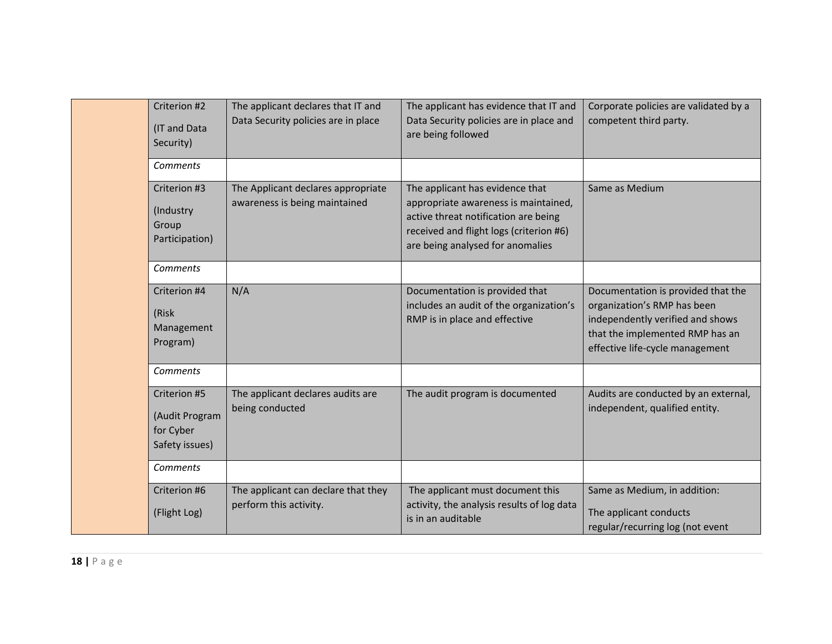|  | Criterion #2<br>(IT and Data<br>Security)                     | The applicant declares that IT and<br>Data Security policies are in place | The applicant has evidence that IT and<br>Data Security policies are in place and<br>are being followed                                                                                        | Corporate policies are validated by a<br>competent third party.                                                                                                             |
|--|---------------------------------------------------------------|---------------------------------------------------------------------------|------------------------------------------------------------------------------------------------------------------------------------------------------------------------------------------------|-----------------------------------------------------------------------------------------------------------------------------------------------------------------------------|
|  | Comments                                                      |                                                                           |                                                                                                                                                                                                |                                                                                                                                                                             |
|  | Criterion #3<br>(Industry<br>Group<br>Participation)          | The Applicant declares appropriate<br>awareness is being maintained       | The applicant has evidence that<br>appropriate awareness is maintained,<br>active threat notification are being<br>received and flight logs (criterion #6)<br>are being analysed for anomalies | Same as Medium                                                                                                                                                              |
|  | Comments                                                      |                                                                           |                                                                                                                                                                                                |                                                                                                                                                                             |
|  | Criterion #4<br>(Risk)<br>Management<br>Program)              | N/A                                                                       | Documentation is provided that<br>includes an audit of the organization's<br>RMP is in place and effective                                                                                     | Documentation is provided that the<br>organization's RMP has been<br>independently verified and shows<br>that the implemented RMP has an<br>effective life-cycle management |
|  | Comments                                                      |                                                                           |                                                                                                                                                                                                |                                                                                                                                                                             |
|  | Criterion #5<br>(Audit Program<br>for Cyber<br>Safety issues) | The applicant declares audits are<br>being conducted                      | The audit program is documented                                                                                                                                                                | Audits are conducted by an external,<br>independent, qualified entity.                                                                                                      |
|  | Comments                                                      |                                                                           |                                                                                                                                                                                                |                                                                                                                                                                             |
|  | Criterion #6<br>(Flight Log)                                  | The applicant can declare that they<br>perform this activity.             | The applicant must document this<br>activity, the analysis results of log data<br>is in an auditable                                                                                           | Same as Medium, in addition:<br>The applicant conducts<br>regular/recurring log (not event                                                                                  |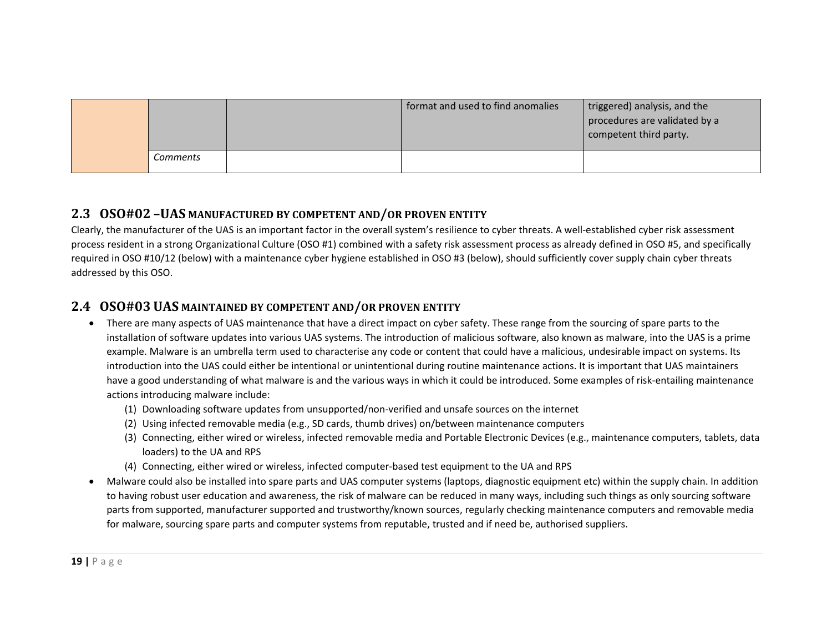|          | format and used to find anomalies | triggered) analysis, and the<br>procedures are validated by a<br>competent third party. |
|----------|-----------------------------------|-----------------------------------------------------------------------------------------|
| Comments |                                   |                                                                                         |

# **2.3 OSO#02 –UAS MANUFACTURED BY COMPETENT AND/OR PROVEN ENTITY**

Clearly, the manufacturer of the UAS is an important factor in the overall system's resilience to cyber threats. A well-established cyber risk assessment process resident in <sup>a</sup> strong Organizational Culture (OSO #1) combined with <sup>a</sup> safety risk assessment process as already defined in OSO #5, and specifically required in OSO #10/12 (below) with <sup>a</sup> maintenance cyber hygiene established in OSO #3 (below), should sufficiently cover supply chain cyber threats addressed by this OSO.

# **2.4 OSO#03 UAS MAINTAINED BY COMPETENT AND/OR PROVEN ENTITY**

- There are many aspects of UAS maintenance that have <sup>a</sup> direct impact on cyber safety. These range from the sourcing of spare parts to the installation of software updates into various UAS systems. The introduction of malicious software, also known as malware, into the UAS is <sup>a</sup> prime example. Malware is an umbrella term used to characterise any code or content that could have <sup>a</sup> malicious, undesirable impact on systems. Its introduction into the UAS could either be intentional or unintentional during routine maintenance actions. It is important that UAS maintainers have <sup>a</sup> good understanding of what malware is and the various ways in which it could be introduced. Some examples of risk‐entailing maintenance actions introducing malware include:
	- (1) Downloading software updates from unsupported/non‐verified and unsafe sources on the internet
	- (2) Using infected removable media (e.g., SD cards, thumb drives) on/between maintenance computers
	- (3) Connecting, either wired or wireless, infected removable media and Portable Electronic Devices (e.g., maintenance computers, tablets, data loaders) to the UA and RPS
	- (4) Connecting, either wired or wireless, infected computer‐based test equipment to the UA and RPS
- . Malware could also be installed into spare parts and UAS computer systems (laptops, diagnostic equipment etc) within the supply chain. In addition to having robust user education and awareness, the risk of malware can be reduced in many ways, including such things as only sourcing software parts from supported, manufacturer supported and trustworthy/known sources, regularly checking maintenance computers and removable media for malware, sourcing spare parts and computer systems from reputable, trusted and if need be, authorised suppliers.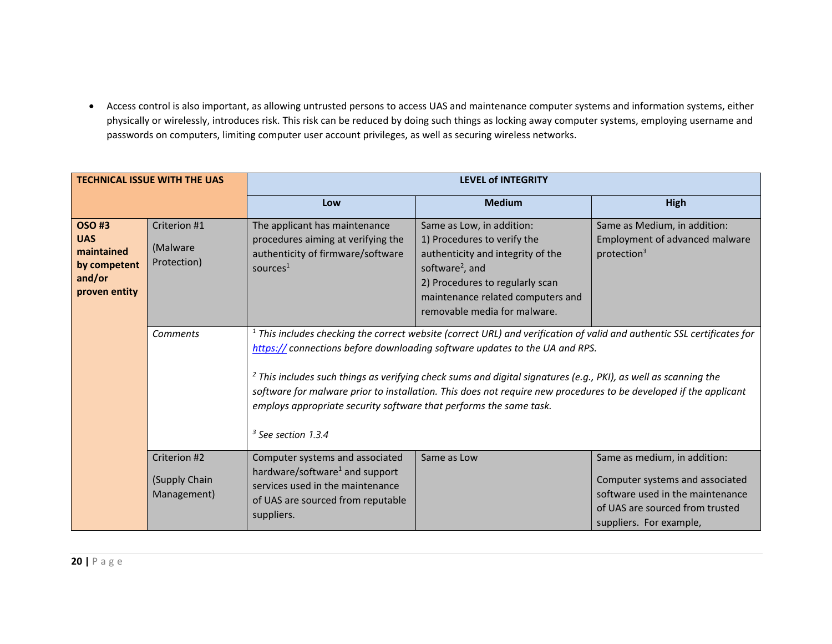Access control is also important, as allowing untrusted persons to access UAS and maintenance computer systems and information systems, either physically or wirelessly, introduces risk. This risk can be reduced by doing such things as locking away computer systems, employing username and passwords on computers, limiting computer user account privileges, as well as securing wireless networks.

| <b>TECHNICAL ISSUE WITH THE UAS</b>                                                 |                                              | <b>LEVEL of INTEGRITY</b>                                                                                                                                                                                                                                                                                                                                                                                                                                                                                                                         |                                                                                                                                                                                                                                      |                                                                                                                                                                   |  |
|-------------------------------------------------------------------------------------|----------------------------------------------|---------------------------------------------------------------------------------------------------------------------------------------------------------------------------------------------------------------------------------------------------------------------------------------------------------------------------------------------------------------------------------------------------------------------------------------------------------------------------------------------------------------------------------------------------|--------------------------------------------------------------------------------------------------------------------------------------------------------------------------------------------------------------------------------------|-------------------------------------------------------------------------------------------------------------------------------------------------------------------|--|
|                                                                                     |                                              | Low                                                                                                                                                                                                                                                                                                                                                                                                                                                                                                                                               | <b>Medium</b>                                                                                                                                                                                                                        | High                                                                                                                                                              |  |
| <b>OSO#3</b><br><b>UAS</b><br>maintained<br>by competent<br>and/or<br>proven entity | Criterion #1<br>(Malware<br>Protection)      | The applicant has maintenance<br>procedures aiming at verifying the<br>authenticity of firmware/software<br>sources $1$                                                                                                                                                                                                                                                                                                                                                                                                                           | Same as Low, in addition:<br>1) Procedures to verify the<br>authenticity and integrity of the<br>software <sup>2</sup> , and<br>2) Procedures to regularly scan<br>maintenance related computers and<br>removable media for malware. | Same as Medium, in addition:<br>Employment of advanced malware<br>protection $3$                                                                                  |  |
|                                                                                     | Comments                                     | $1$ This includes checking the correct website (correct URL) and verification of valid and authentic SSL certificates for<br>https:// connections before downloading software updates to the UA and RPS.<br>$2$ This includes such things as verifying check sums and digital signatures (e.g., PKI), as well as scanning the<br>software for malware prior to installation. This does not require new procedures to be developed if the applicant<br>employs appropriate security software that performs the same task.<br>$3$ See section 1.3.4 |                                                                                                                                                                                                                                      |                                                                                                                                                                   |  |
|                                                                                     | Criterion #2<br>(Supply Chain<br>Management) | Computer systems and associated<br>hardware/software <sup>1</sup> and support<br>services used in the maintenance<br>of UAS are sourced from reputable<br>suppliers.                                                                                                                                                                                                                                                                                                                                                                              | Same as Low                                                                                                                                                                                                                          | Same as medium, in addition:<br>Computer systems and associated<br>software used in the maintenance<br>of UAS are sourced from trusted<br>suppliers. For example, |  |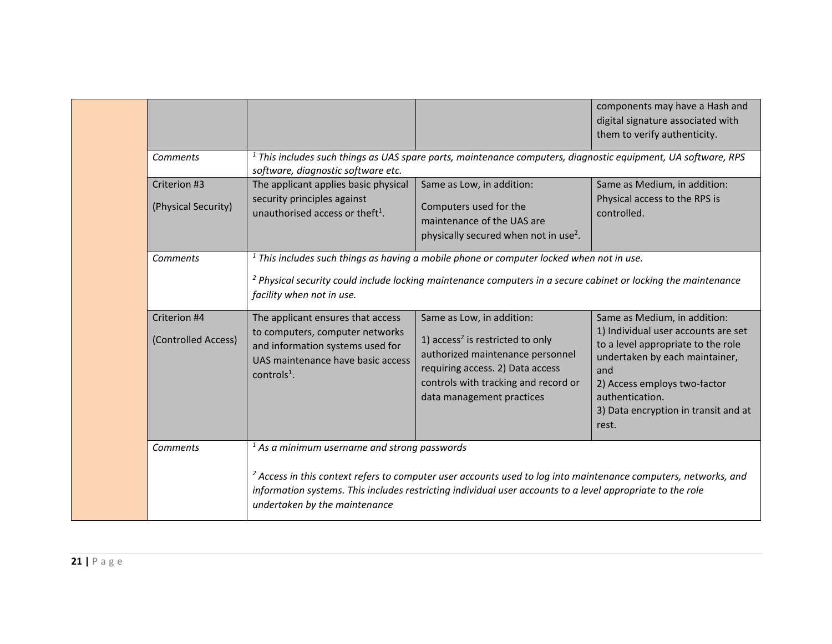|                                     |                                                                                                                                                                  |                                                                                                                                                                                                                                          | components may have a Hash and<br>digital signature associated with<br>them to verify authenticity.                                                                                                                                                    |
|-------------------------------------|------------------------------------------------------------------------------------------------------------------------------------------------------------------|------------------------------------------------------------------------------------------------------------------------------------------------------------------------------------------------------------------------------------------|--------------------------------------------------------------------------------------------------------------------------------------------------------------------------------------------------------------------------------------------------------|
| Comments                            | software, diagnostic software etc.                                                                                                                               | $1$ This includes such things as UAS spare parts, maintenance computers, diagnostic equipment, UA software, RPS                                                                                                                          |                                                                                                                                                                                                                                                        |
| Criterion #3<br>(Physical Security) | The applicant applies basic physical<br>security principles against<br>unauthorised access or theft <sup>1</sup> .                                               | Same as Low, in addition:<br>Computers used for the<br>maintenance of the UAS are<br>physically secured when not in use <sup>2</sup> .                                                                                                   | Same as Medium, in addition:<br>Physical access to the RPS is<br>controlled.                                                                                                                                                                           |
| Comments                            | facility when not in use.                                                                                                                                        | $1$ This includes such things as having a mobile phone or computer locked when not in use.<br><sup>2</sup> Physical security could include locking maintenance computers in a secure cabinet or locking the maintenance                  |                                                                                                                                                                                                                                                        |
| Criterion #4<br>(Controlled Access) | The applicant ensures that access<br>to computers, computer networks<br>and information systems used for<br>UAS maintenance have basic access<br>controls $^1$ . | Same as Low, in addition:<br>1) $access2$ is restricted to only<br>authorized maintenance personnel<br>requiring access. 2) Data access<br>controls with tracking and record or<br>data management practices                             | Same as Medium, in addition:<br>1) Individual user accounts are set<br>to a level appropriate to the role<br>undertaken by each maintainer,<br>and<br>2) Access employs two-factor<br>authentication.<br>3) Data encryption in transit and at<br>rest. |
| Comments                            | $1$ As a minimum username and strong passwords<br>undertaken by the maintenance                                                                                  | <sup>2</sup> Access in this context refers to computer user accounts used to log into maintenance computers, networks, and<br>information systems. This includes restricting individual user accounts to a level appropriate to the role |                                                                                                                                                                                                                                                        |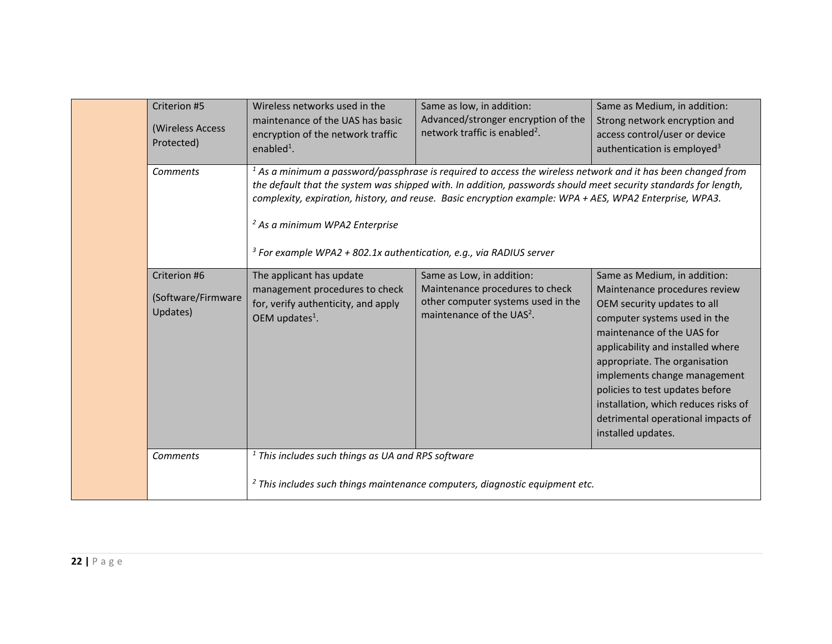| Criterion #5<br>(Wireless Access<br>Protected) | Wireless networks used in the<br>maintenance of the UAS has basic<br>encryption of the network traffic<br>enabled <sup>1</sup> .       | Same as low, in addition:<br>Advanced/stronger encryption of the<br>network traffic is enabled <sup>2</sup> .                                                                                                                                                                                                                                | Same as Medium, in addition:<br>Strong network encryption and<br>access control/user or device<br>authentication is employed <sup>3</sup>                                                                                                                                                                                                                                                               |
|------------------------------------------------|----------------------------------------------------------------------------------------------------------------------------------------|----------------------------------------------------------------------------------------------------------------------------------------------------------------------------------------------------------------------------------------------------------------------------------------------------------------------------------------------|---------------------------------------------------------------------------------------------------------------------------------------------------------------------------------------------------------------------------------------------------------------------------------------------------------------------------------------------------------------------------------------------------------|
| <b>Comments</b>                                | <sup>2</sup> As a minimum WPA2 Enterprise<br><sup>3</sup> For example WPA2 + 802.1x authentication, e.g., via RADIUS server            | $1$ As a minimum a password/passphrase is required to access the wireless network and it has been changed from<br>the default that the system was shipped with. In addition, passwords should meet security standards for length,<br>complexity, expiration, history, and reuse. Basic encryption example: WPA + AES, WPA2 Enterprise, WPA3. |                                                                                                                                                                                                                                                                                                                                                                                                         |
| Criterion #6<br>(Software/Firmware<br>Updates) | The applicant has update<br>management procedures to check<br>for, verify authenticity, and apply<br>OEM updates <sup>1</sup> .        | Same as Low, in addition:<br>Maintenance procedures to check<br>other computer systems used in the<br>maintenance of the UAS <sup>2</sup> .                                                                                                                                                                                                  | Same as Medium, in addition:<br>Maintenance procedures review<br>OEM security updates to all<br>computer systems used in the<br>maintenance of the UAS for<br>applicability and installed where<br>appropriate. The organisation<br>implements change management<br>policies to test updates before<br>installation, which reduces risks of<br>detrimental operational impacts of<br>installed updates. |
| Comments                                       | $1$ This includes such things as UA and RPS software<br>$2$ This includes such things maintenance computers, diagnostic equipment etc. |                                                                                                                                                                                                                                                                                                                                              |                                                                                                                                                                                                                                                                                                                                                                                                         |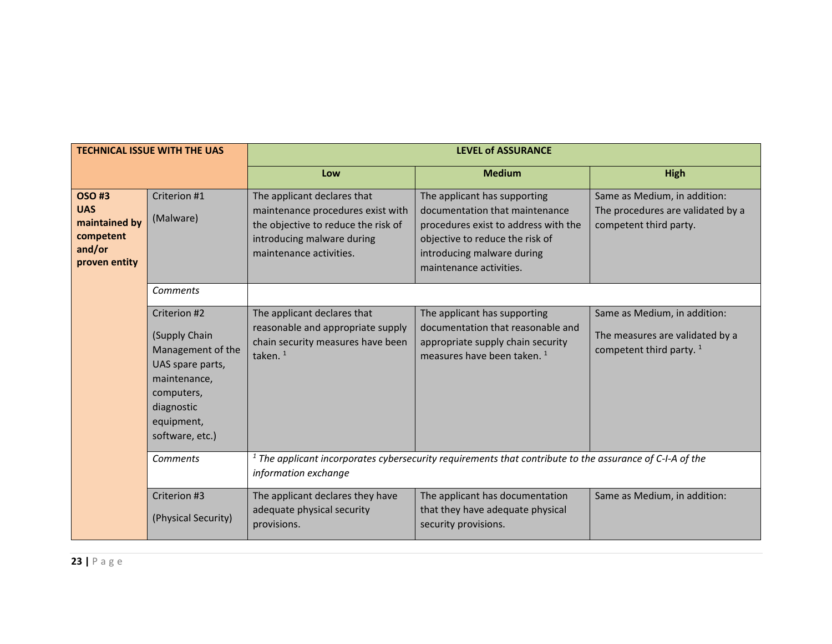| <b>TECHNICAL ISSUE WITH THE UAS</b>                                                 |                                                                                                                                                     |                                                                                                                                                                  | <b>LEVEL of ASSURANCE</b>                                                                                                                                                                          |                                                                                               |
|-------------------------------------------------------------------------------------|-----------------------------------------------------------------------------------------------------------------------------------------------------|------------------------------------------------------------------------------------------------------------------------------------------------------------------|----------------------------------------------------------------------------------------------------------------------------------------------------------------------------------------------------|-----------------------------------------------------------------------------------------------|
|                                                                                     |                                                                                                                                                     | Low                                                                                                                                                              | <b>Medium</b>                                                                                                                                                                                      | High                                                                                          |
| <b>OSO#3</b><br><b>UAS</b><br>maintained by<br>competent<br>and/or<br>proven entity | Criterion #1<br>(Malware)                                                                                                                           | The applicant declares that<br>maintenance procedures exist with<br>the objective to reduce the risk of<br>introducing malware during<br>maintenance activities. | The applicant has supporting<br>documentation that maintenance<br>procedures exist to address with the<br>objective to reduce the risk of<br>introducing malware during<br>maintenance activities. | Same as Medium, in addition:<br>The procedures are validated by a<br>competent third party.   |
|                                                                                     | <b>Comments</b>                                                                                                                                     |                                                                                                                                                                  |                                                                                                                                                                                                    |                                                                                               |
|                                                                                     | Criterion #2<br>(Supply Chain<br>Management of the<br>UAS spare parts,<br>maintenance,<br>computers,<br>diagnostic<br>equipment,<br>software, etc.) | The applicant declares that<br>reasonable and appropriate supply<br>chain security measures have been<br>taken. <sup>1</sup>                                     | The applicant has supporting<br>documentation that reasonable and<br>appropriate supply chain security<br>measures have been taken. <sup>1</sup>                                                   | Same as Medium, in addition:<br>The measures are validated by a<br>competent third party. $1$ |
| <b>Comments</b>                                                                     |                                                                                                                                                     | $1$ The applicant incorporates cybersecurity requirements that contribute to the assurance of C-I-A of the<br>information exchange                               |                                                                                                                                                                                                    |                                                                                               |
|                                                                                     | Criterion #3<br>(Physical Security)                                                                                                                 | The applicant declares they have<br>adequate physical security<br>provisions.                                                                                    | The applicant has documentation<br>that they have adequate physical<br>security provisions.                                                                                                        | Same as Medium, in addition:                                                                  |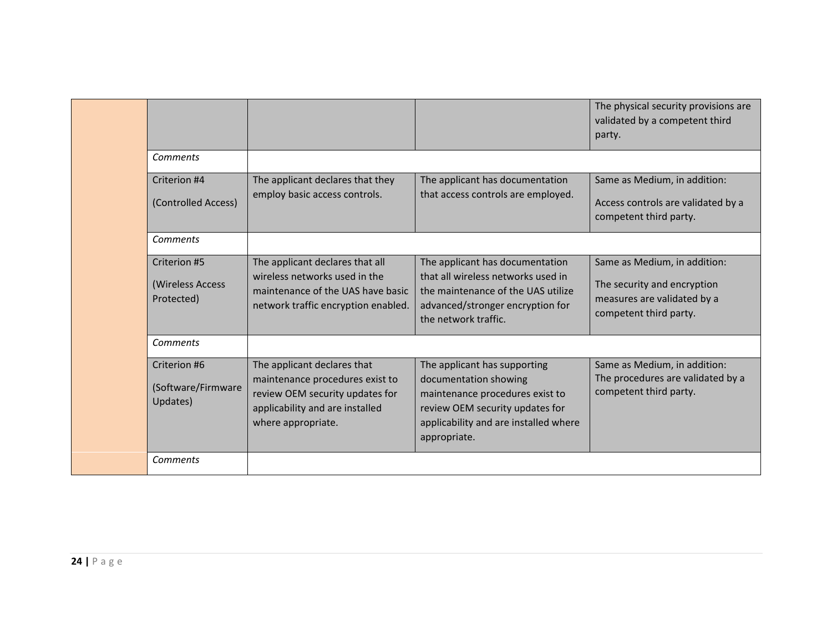|                                                |                                                                                                                                                            |                                                                                                                                                                                      | The physical security provisions are<br>validated by a competent third<br>party.                                     |
|------------------------------------------------|------------------------------------------------------------------------------------------------------------------------------------------------------------|--------------------------------------------------------------------------------------------------------------------------------------------------------------------------------------|----------------------------------------------------------------------------------------------------------------------|
| Comments                                       |                                                                                                                                                            |                                                                                                                                                                                      |                                                                                                                      |
| Criterion #4<br>(Controlled Access)            | The applicant declares that they<br>employ basic access controls.                                                                                          | The applicant has documentation<br>that access controls are employed.                                                                                                                | Same as Medium, in addition:<br>Access controls are validated by a<br>competent third party.                         |
| Comments                                       |                                                                                                                                                            |                                                                                                                                                                                      |                                                                                                                      |
| Criterion #5<br>(Wireless Access<br>Protected) | The applicant declares that all<br>wireless networks used in the<br>maintenance of the UAS have basic<br>network traffic encryption enabled.               | The applicant has documentation<br>that all wireless networks used in<br>the maintenance of the UAS utilize<br>advanced/stronger encryption for<br>the network traffic.              | Same as Medium, in addition:<br>The security and encryption<br>measures are validated by a<br>competent third party. |
| Comments                                       |                                                                                                                                                            |                                                                                                                                                                                      |                                                                                                                      |
| Criterion #6<br>(Software/Firmware<br>Updates) | The applicant declares that<br>maintenance procedures exist to<br>review OEM security updates for<br>applicability and are installed<br>where appropriate. | The applicant has supporting<br>documentation showing<br>maintenance procedures exist to<br>review OEM security updates for<br>applicability and are installed where<br>appropriate. | Same as Medium, in addition:<br>The procedures are validated by a<br>competent third party.                          |
| Comments                                       |                                                                                                                                                            |                                                                                                                                                                                      |                                                                                                                      |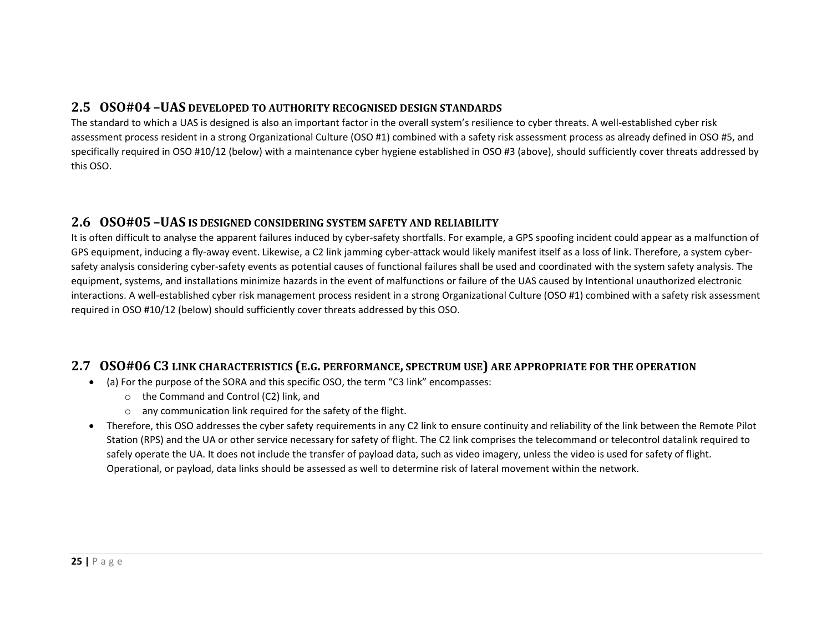# **2.5 OSO#04 –UAS DEVELOPED TO AUTHORITY RECOGNISED DESIGN STANDARDS**

The standard to which <sup>a</sup> UAS is designed is also an important factor in the overall system's resilience to cyber threats. A well‐established cyber risk assessment process resident in <sup>a</sup> strong Organizational Culture (OSO #1) combined with <sup>a</sup> safety risk assessment process as already defined in OSO #5, and specifically required in OSO #10/12 (below) with <sup>a</sup> maintenance cyber hygiene established in OSO #3 (above), should sufficiently cover threats addressed by this OSO.

### **2.6 OSO#05 –UAS IS DESIGNED CONSIDERING SYSTEM SAFETY AND RELIABILITY**

It is often difficult to analyse the apparent failures induced by cyber‐safety shortfalls. For example, <sup>a</sup> GPS spoofing incident could appear as <sup>a</sup> malfunction of GPS equipment, inducing <sup>a</sup> fly‐away event. Likewise, <sup>a</sup> C2 link jamming cyber‐attack would likely manifest itself as <sup>a</sup> loss of link. Therefore, <sup>a</sup> system cyber‐ safety analysis considering cyber-safety events as potential causes of functional failures shall be used and coordinated with the system safety analysis. The equipment, systems, and installations minimize hazards in the event of malfunctions or failure of the UAS caused by Intentional unauthorized electronic interactions. A well‐established cyber risk management process resident in <sup>a</sup> strong Organizational Culture (OSO #1) combined with <sup>a</sup> safety risk assessment required in OSO #10/12 (below) should sufficiently cover threats addressed by this OSO.

# **2.7 OSO#06 C3 LINK CHARACTERISTICS (E.G. PERFORMANCE, SPECTRUM USE) ARE APPROPRIATE FOR THE OPERATION**

- (a) For the purpose of the SORA and this specific OSO, the term "C3 link" encompasses:
	- o the Command and Control (C2) link, and
	- $\circ$  any communication link required for the safety of the flight.
- Therefore, this OSO addresses the cyber safety requirements in any C2 link to ensure continuity and reliability of the link between the Remote Pilot Station (RPS) and the UA or other service necessary for safety of flight. The C2 link comprises the telecommand or telecontrol datalink required to safely operate the UA. It does not include the transfer of payload data, such as video imagery, unless the video is used for safety of flight. Operational, or payload, data links should be assessed as well to determine risk of lateral movement within the network.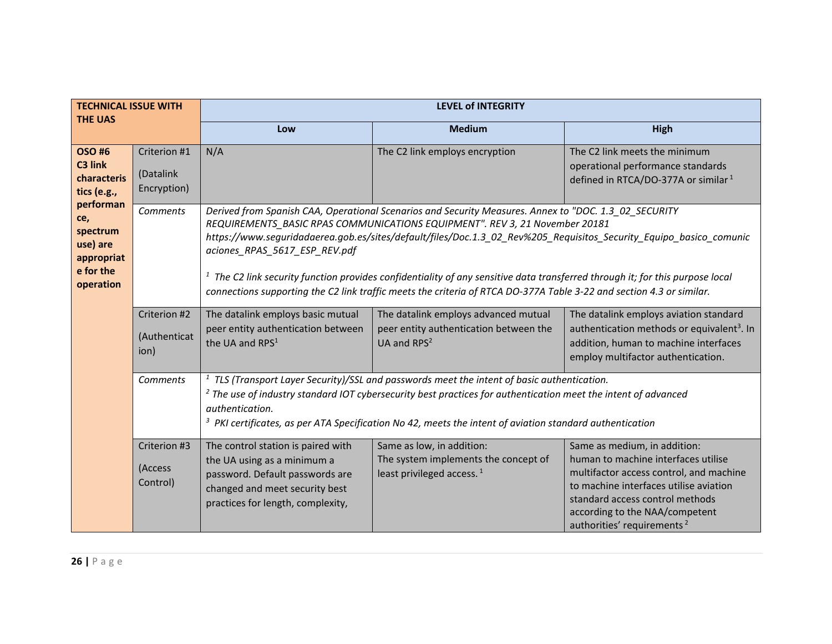| <b>TECHNICAL ISSUE WITH</b><br><b>THE UAS</b>                                    |                                          |                                                                                                                                                                                                                                                                                                                                                                                                                                                                                                                                                                                                        | <b>LEVEL of INTEGRITY</b>                                                                                 |                                                                                                                                                                                                                                                                         |  |  |
|----------------------------------------------------------------------------------|------------------------------------------|--------------------------------------------------------------------------------------------------------------------------------------------------------------------------------------------------------------------------------------------------------------------------------------------------------------------------------------------------------------------------------------------------------------------------------------------------------------------------------------------------------------------------------------------------------------------------------------------------------|-----------------------------------------------------------------------------------------------------------|-------------------------------------------------------------------------------------------------------------------------------------------------------------------------------------------------------------------------------------------------------------------------|--|--|
|                                                                                  |                                          | Low                                                                                                                                                                                                                                                                                                                                                                                                                                                                                                                                                                                                    | <b>Medium</b>                                                                                             | High                                                                                                                                                                                                                                                                    |  |  |
| <b>OSO#6</b><br>C3 link<br>characteris<br>tics (e.g.,                            | Criterion #1<br>(Datalink<br>Encryption) | N/A                                                                                                                                                                                                                                                                                                                                                                                                                                                                                                                                                                                                    | The C2 link employs encryption                                                                            | The C2 link meets the minimum<br>operational performance standards<br>defined in RTCA/DO-377A or similar <sup>1</sup>                                                                                                                                                   |  |  |
| performan<br>ce,<br>spectrum<br>use) are<br>appropriat<br>e for the<br>operation | Comments                                 | Derived from Spanish CAA, Operational Scenarios and Security Measures. Annex to "DOC. 1.3 02 SECURITY<br>REQUIREMENTS BASIC RPAS COMMUNICATIONS EQUIPMENT". REV 3, 21 November 20181<br>https://www.seguridadaerea.gob.es/sites/default/files/Doc.1.3_02_Rev%205_Requisitos_Security_Equipo_basico_comunic<br>aciones_RPAS_5617_ESP_REV.pdf<br>$1$ The C2 link security function provides confidentiality of any sensitive data transferred through it; for this purpose local<br>connections supporting the C2 link traffic meets the criteria of RTCA DO-377A Table 3-22 and section 4.3 or similar. |                                                                                                           |                                                                                                                                                                                                                                                                         |  |  |
|                                                                                  | Criterion #2<br>(Authenticat<br>ion)     | The datalink employs basic mutual<br>peer entity authentication between<br>the UA and RPS <sup>1</sup>                                                                                                                                                                                                                                                                                                                                                                                                                                                                                                 | The datalink employs advanced mutual<br>peer entity authentication between the<br>UA and RPS <sup>2</sup> | The datalink employs aviation standard<br>authentication methods or equivalent <sup>3</sup> . In<br>addition, human to machine interfaces<br>employ multifactor authentication.                                                                                         |  |  |
|                                                                                  | Comments                                 | $1$ TLS (Transport Layer Security)/SSL and passwords meet the intent of basic authentication.<br><sup>2</sup> The use of industry standard IOT cybersecurity best practices for authentication meet the intent of advanced<br>authentication.<br>$3$ PKI certificates, as per ATA Specification No 42, meets the intent of aviation standard authentication                                                                                                                                                                                                                                            |                                                                                                           |                                                                                                                                                                                                                                                                         |  |  |
|                                                                                  | Criterion #3<br>(Access<br>Control)      | The control station is paired with<br>the UA using as a minimum a<br>password. Default passwords are<br>changed and meet security best<br>practices for length, complexity,                                                                                                                                                                                                                                                                                                                                                                                                                            | Same as low, in addition:<br>The system implements the concept of<br>least privileged access. $1$         | Same as medium, in addition:<br>human to machine interfaces utilise<br>multifactor access control, and machine<br>to machine interfaces utilise aviation<br>standard access control methods<br>according to the NAA/competent<br>authorities' requirements <sup>2</sup> |  |  |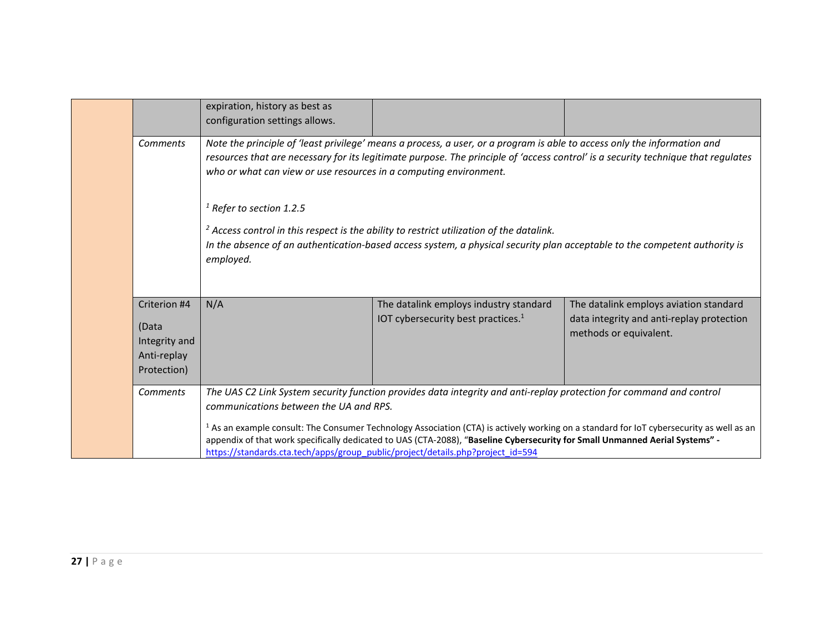|                                                                                      |                                                                      | expiration, history as best as<br>configuration settings allows.                                                          |                                                                                                                                                                                                                                                               |                                                                                                                                                     |
|--------------------------------------------------------------------------------------|----------------------------------------------------------------------|---------------------------------------------------------------------------------------------------------------------------|---------------------------------------------------------------------------------------------------------------------------------------------------------------------------------------------------------------------------------------------------------------|-----------------------------------------------------------------------------------------------------------------------------------------------------|
| <b>Comments</b><br>who or what can view or use resources in a computing environment. |                                                                      |                                                                                                                           | Note the principle of 'least privilege' means a process, a user, or a program is able to access only the information and<br>resources that are necessary for its legitimate purpose. The principle of 'access control' is a security technique that regulates |                                                                                                                                                     |
|                                                                                      |                                                                      | $1$ Refer to section 1.2.5<br>employed.                                                                                   | $2$ Access control in this respect is the ability to restrict utilization of the datalink.<br>In the absence of an authentication-based access system, a physical security plan acceptable to the competent authority is                                      |                                                                                                                                                     |
|                                                                                      | Criterion #4<br>(Data<br>Integrity and<br>Anti-replay<br>Protection) | N/A                                                                                                                       | The datalink employs industry standard<br>IOT cybersecurity best practices. <sup>1</sup>                                                                                                                                                                      | The datalink employs aviation standard<br>data integrity and anti-replay protection<br>methods or equivalent.                                       |
|                                                                                      | Comments                                                             | communications between the UA and RPS.<br>https://standards.cta.tech/apps/group_public/project/details.php?project_id=594 | The UAS C2 Link System security function provides data integrity and anti-replay protection for command and control<br>appendix of that work specifically dedicated to UAS (CTA-2088), "Baseline Cybersecurity for Small Unmanned Aerial Systems" -           | <sup>1</sup> As an example consult: The Consumer Technology Association (CTA) is actively working on a standard for IoT cybersecurity as well as an |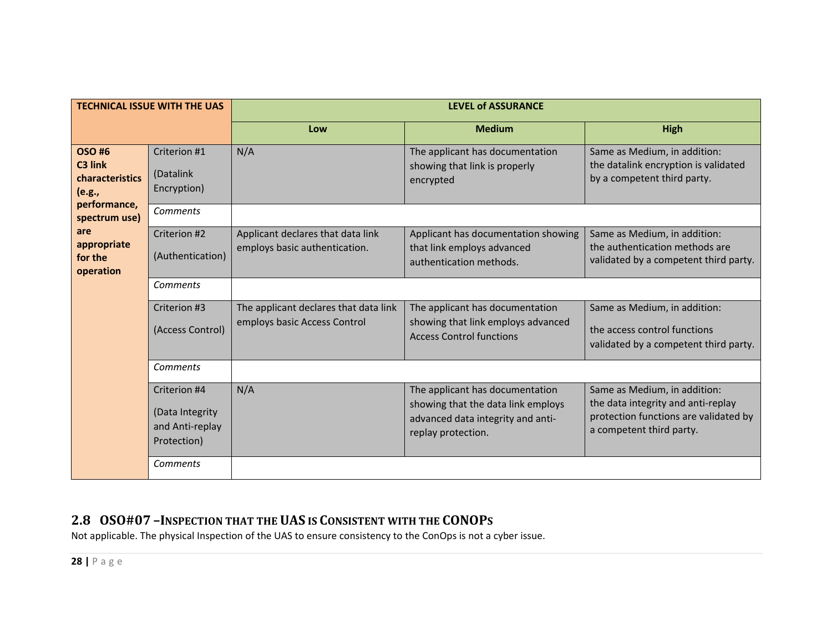| <b>TECHNICAL ISSUE WITH THE UAS</b>                  |                                                                   | <b>LEVEL of ASSURANCE</b>                                             |                                                                                                                                  |                                                                                                                                         |
|------------------------------------------------------|-------------------------------------------------------------------|-----------------------------------------------------------------------|----------------------------------------------------------------------------------------------------------------------------------|-----------------------------------------------------------------------------------------------------------------------------------------|
|                                                      |                                                                   | Low                                                                   | <b>Medium</b>                                                                                                                    | High                                                                                                                                    |
| <b>OSO#6</b><br>C3 link<br>characteristics<br>(e.g., | Criterion #1<br>(Datalink<br>Encryption)                          | N/A                                                                   | The applicant has documentation<br>showing that link is properly<br>encrypted                                                    | Same as Medium, in addition:<br>the datalink encryption is validated<br>by a competent third party.                                     |
| performance,<br>spectrum use)                        | <b>Comments</b>                                                   |                                                                       |                                                                                                                                  |                                                                                                                                         |
| are<br>appropriate<br>for the<br>operation           | Criterion #2<br>(Authentication)                                  | Applicant declares that data link<br>employs basic authentication.    | Applicant has documentation showing<br>that link employs advanced<br>authentication methods.                                     | Same as Medium, in addition:<br>the authentication methods are<br>validated by a competent third party.                                 |
|                                                      | Comments                                                          |                                                                       |                                                                                                                                  |                                                                                                                                         |
|                                                      | Criterion #3<br>(Access Control)                                  | The applicant declares that data link<br>employs basic Access Control | The applicant has documentation<br>showing that link employs advanced                                                            | Same as Medium, in addition:<br>the access control functions                                                                            |
|                                                      |                                                                   |                                                                       | <b>Access Control functions</b>                                                                                                  | validated by a competent third party.                                                                                                   |
|                                                      | Comments                                                          |                                                                       |                                                                                                                                  |                                                                                                                                         |
|                                                      | Criterion #4<br>(Data Integrity<br>and Anti-replay<br>Protection) | N/A                                                                   | The applicant has documentation<br>showing that the data link employs<br>advanced data integrity and anti-<br>replay protection. | Same as Medium, in addition:<br>the data integrity and anti-replay<br>protection functions are validated by<br>a competent third party. |
|                                                      | Comments                                                          |                                                                       |                                                                                                                                  |                                                                                                                                         |

# **2.8 OSO#07 –INSPECTION THAT THE UAS IS CONSISTENT WITH THE CONOPS**

Not applicable. The physical Inspection of the UAS to ensure consistency to the ConOps is not <sup>a</sup> cyber issue.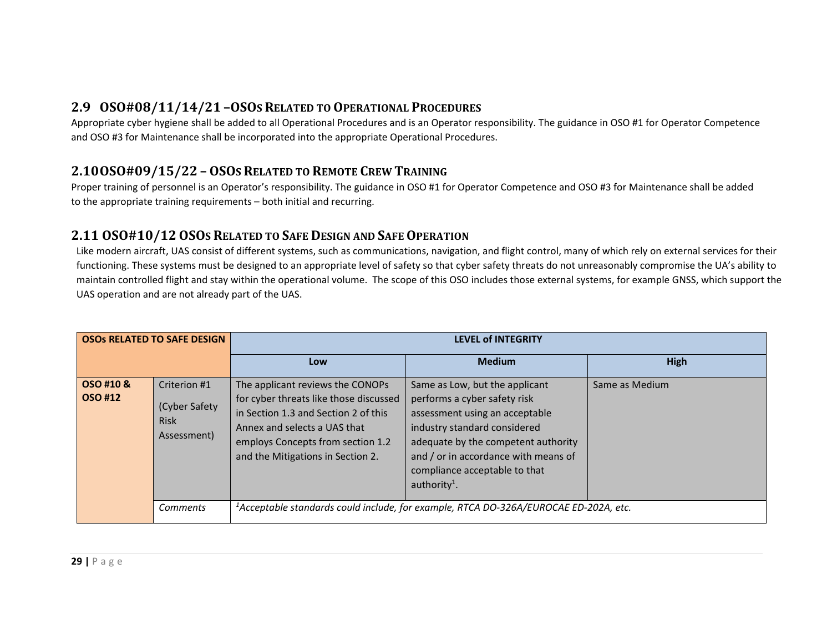# **2.9 OSO#08/11/14/21 –OSOS RELATED TO OPERATIONAL PROCEDURES**

Appropriate cyber hygiene shall be added to all Operational Procedures and is an Operator responsibility. The guidance in OSO #1 for Operator Competence and OSO #3 for Maintenance shall be incorporated into the appropriate Operational Procedures.

# **2.10OSO#09/15/22 – OSOS RELATED TO REMOTE CREW TRAINING**

Proper training of personnel is an Operator's responsibility. The guidance in OSO #1 for Operator Competence and OSO #3 for Maintenance shall be added to the appropriate training requirements – both initial and recurring.

# **2.11 OSO#10/12OSOS RELATED TO SAFE DESIGN AND SAFEOPERATION**

Like modern aircraft, UAS consist of different systems, such as communications, navigation, and flight control, many of which rely on external services for their functioning. These systems must be designed to an appropriate level of safety so that cyber safety threats do not unreasonably compromise the UA's ability to maintain controlled flight and stay within the operational volume. The scope of this OSO includes those external systems, for example GNSS, which support the UAS operation and are not already part of the UAS.

| <b>OSOS RELATED TO SAFE DESIGN</b> |                                                             | <b>LEVEL of INTEGRITY</b>                                                                                                                                                                                                    |                                                                                                                                                                                                                                                                              |                |
|------------------------------------|-------------------------------------------------------------|------------------------------------------------------------------------------------------------------------------------------------------------------------------------------------------------------------------------------|------------------------------------------------------------------------------------------------------------------------------------------------------------------------------------------------------------------------------------------------------------------------------|----------------|
|                                    |                                                             | Low                                                                                                                                                                                                                          | <b>Medium</b>                                                                                                                                                                                                                                                                | <b>High</b>    |
| OSO #10 &<br>OSO #12               | Criterion #1<br>(Cyber Safety<br><b>Risk</b><br>Assessment) | The applicant reviews the CONOPs<br>for cyber threats like those discussed<br>in Section 1.3 and Section 2 of this<br>Annex and selects a UAS that<br>employs Concepts from section 1.2<br>and the Mitigations in Section 2. | Same as Low, but the applicant<br>performs a cyber safety risk<br>assessment using an acceptable<br>industry standard considered<br>adequate by the competent authority<br>and / or in accordance with means of<br>compliance acceptable to that<br>authority <sup>1</sup> . | Same as Medium |
|                                    | Comments                                                    |                                                                                                                                                                                                                              | <sup>1</sup> Acceptable standards could include, for example, RTCA DO-326A/EUROCAE ED-202A, etc.                                                                                                                                                                             |                |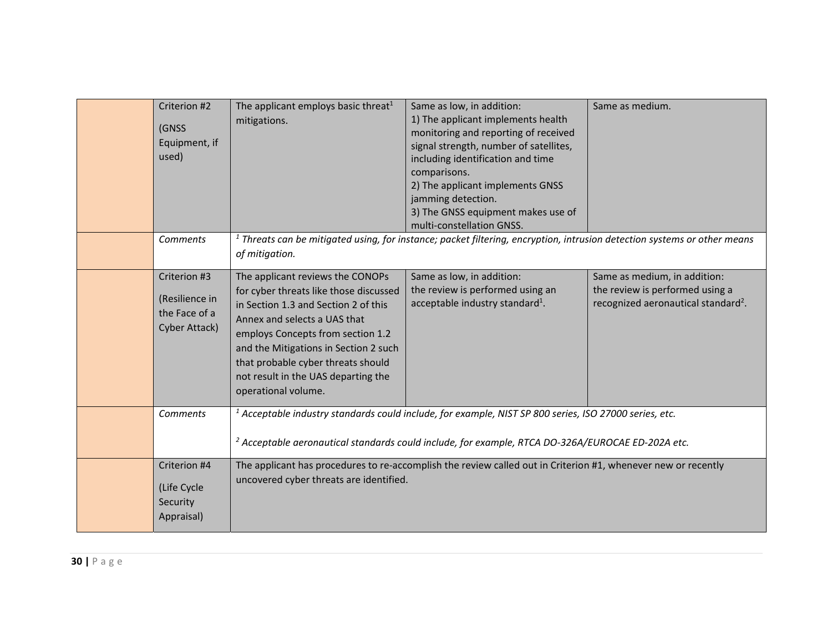| Criterion #2<br>(GNSS<br>Equipment, if<br>used)                  | The applicant employs basic threat <sup>1</sup><br>mitigations.                                                                                                                                                                                                                                                                      | Same as low, in addition:<br>1) The applicant implements health<br>monitoring and reporting of received<br>signal strength, number of satellites,<br>including identification and time<br>comparisons.<br>2) The applicant implements GNSS<br>jamming detection.<br>3) The GNSS equipment makes use of<br>multi-constellation GNSS. | Same as medium.                                                                                                    |
|------------------------------------------------------------------|--------------------------------------------------------------------------------------------------------------------------------------------------------------------------------------------------------------------------------------------------------------------------------------------------------------------------------------|-------------------------------------------------------------------------------------------------------------------------------------------------------------------------------------------------------------------------------------------------------------------------------------------------------------------------------------|--------------------------------------------------------------------------------------------------------------------|
| <b>Comments</b>                                                  | of mitigation.                                                                                                                                                                                                                                                                                                                       | $1$ Threats can be mitigated using, for instance; packet filtering, encryption, intrusion detection systems or other means                                                                                                                                                                                                          |                                                                                                                    |
| Criterion #3<br>(Resilience in<br>the Face of a<br>Cyber Attack) | The applicant reviews the CONOPs<br>for cyber threats like those discussed<br>in Section 1.3 and Section 2 of this<br>Annex and selects a UAS that<br>employs Concepts from section 1.2<br>and the Mitigations in Section 2 such<br>that probable cyber threats should<br>not result in the UAS departing the<br>operational volume. | Same as low, in addition:<br>the review is performed using an<br>acceptable industry standard <sup>1</sup> .                                                                                                                                                                                                                        | Same as medium, in addition:<br>the review is performed using a<br>recognized aeronautical standard <sup>2</sup> . |
| <b>Comments</b>                                                  |                                                                                                                                                                                                                                                                                                                                      | <sup>1</sup> Acceptable industry standards could include, for example, NIST SP 800 series, ISO 27000 series, etc.<br><sup>2</sup> Acceptable aeronautical standards could include, for example, RTCA DO-326A/EUROCAE ED-202A etc.                                                                                                   |                                                                                                                    |
| Criterion #4<br>(Life Cycle<br>Security<br>Appraisal)            | uncovered cyber threats are identified.                                                                                                                                                                                                                                                                                              | The applicant has procedures to re-accomplish the review called out in Criterion #1, whenever new or recently                                                                                                                                                                                                                       |                                                                                                                    |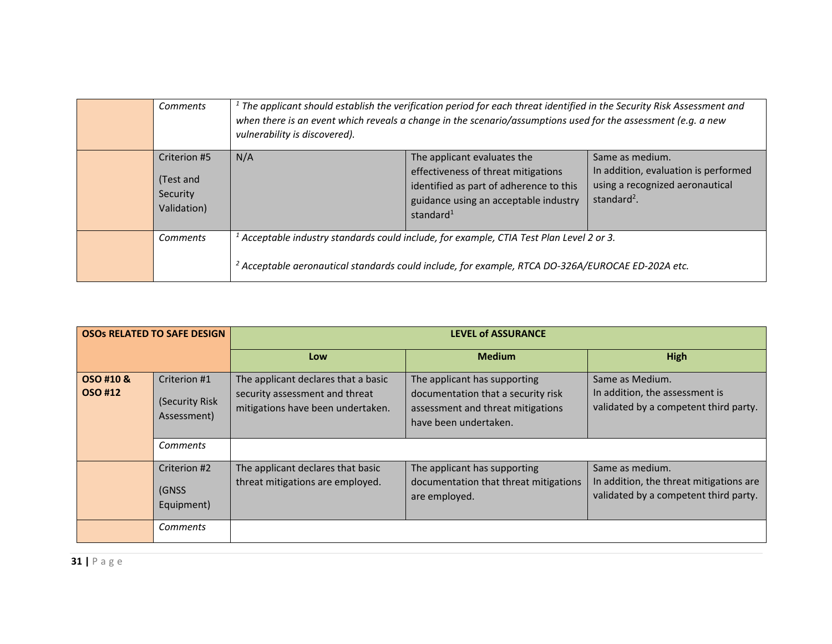| Comments                                             | $1$ The applicant should establish the verification period for each threat identified in the Security Risk Assessment and<br>when there is an event which reveals a change in the scenario/assumptions used for the assessment (e.g. a new<br>vulnerability is discovered). |                                                                                                                                                                                 |                                                                                                                       |
|------------------------------------------------------|-----------------------------------------------------------------------------------------------------------------------------------------------------------------------------------------------------------------------------------------------------------------------------|---------------------------------------------------------------------------------------------------------------------------------------------------------------------------------|-----------------------------------------------------------------------------------------------------------------------|
| Criterion #5<br>(Test and<br>Security<br>Validation) | N/A                                                                                                                                                                                                                                                                         | The applicant evaluates the<br>effectiveness of threat mitigations<br>identified as part of adherence to this<br>guidance using an acceptable industry<br>standard <sup>1</sup> | Same as medium.<br>In addition, evaluation is performed<br>using a recognized aeronautical<br>standard <sup>2</sup> . |
| <b>Comments</b>                                      | $^l$ Acceptable industry standards could include, for example, CTIA Test Plan Level 2 or 3.<br><sup>2</sup> Acceptable aeronautical standards could include, for example, RTCA DO-326A/EUROCAE ED-202A etc.                                                                 |                                                                                                                                                                                 |                                                                                                                       |

| <b>OSOS RELATED TO SAFE DESIGN</b> |                                               | <b>LEVEL of ASSURANCE</b>                                                                                  |                                                                                                                                  |                                                                                                     |
|------------------------------------|-----------------------------------------------|------------------------------------------------------------------------------------------------------------|----------------------------------------------------------------------------------------------------------------------------------|-----------------------------------------------------------------------------------------------------|
|                                    |                                               | Low                                                                                                        | <b>Medium</b>                                                                                                                    | <b>High</b>                                                                                         |
| OSO #10 &<br>OSO #12               | Criterion #1<br>(Security Risk<br>Assessment) | The applicant declares that a basic<br>security assessment and threat<br>mitigations have been undertaken. | The applicant has supporting<br>documentation that a security risk<br>assessment and threat mitigations<br>have been undertaken. | Same as Medium.<br>In addition, the assessment is<br>validated by a competent third party.          |
|                                    | <b>Comments</b>                               |                                                                                                            |                                                                                                                                  |                                                                                                     |
|                                    | Criterion #2<br>(GNSS<br>Equipment)           | The applicant declares that basic<br>threat mitigations are employed.                                      | The applicant has supporting<br>documentation that threat mitigations<br>are employed.                                           | Same as medium.<br>In addition, the threat mitigations are<br>validated by a competent third party. |
|                                    | Comments                                      |                                                                                                            |                                                                                                                                  |                                                                                                     |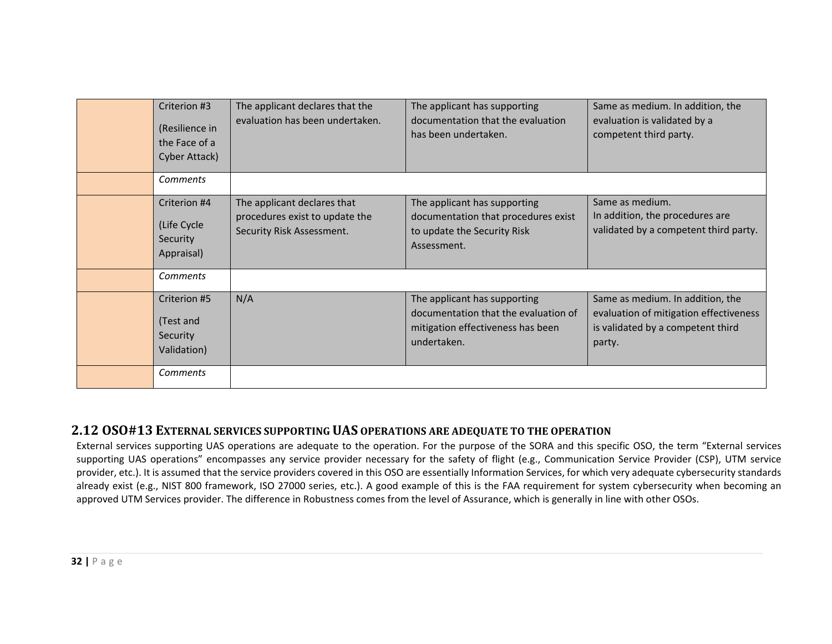| Criterion #3<br>(Resilience in<br>the Face of a<br>Cyber Attack) | The applicant declares that the<br>evaluation has been undertaken.                         | The applicant has supporting<br>documentation that the evaluation<br>has been undertaken.                                | Same as medium. In addition, the<br>evaluation is validated by a<br>competent third party.                                |
|------------------------------------------------------------------|--------------------------------------------------------------------------------------------|--------------------------------------------------------------------------------------------------------------------------|---------------------------------------------------------------------------------------------------------------------------|
| Comments                                                         |                                                                                            |                                                                                                                          |                                                                                                                           |
| Criterion #4<br>(Life Cycle<br>Security<br>Appraisal)            | The applicant declares that<br>procedures exist to update the<br>Security Risk Assessment. | The applicant has supporting<br>documentation that procedures exist<br>to update the Security Risk<br>Assessment.        | Same as medium.<br>In addition, the procedures are<br>validated by a competent third party.                               |
| <b>Comments</b>                                                  |                                                                                            |                                                                                                                          |                                                                                                                           |
| Criterion #5<br>(Test and<br>Security<br>Validation)             | N/A                                                                                        | The applicant has supporting<br>documentation that the evaluation of<br>mitigation effectiveness has been<br>undertaken. | Same as medium. In addition, the<br>evaluation of mitigation effectiveness<br>is validated by a competent third<br>party. |
| <b>Comments</b>                                                  |                                                                                            |                                                                                                                          |                                                                                                                           |

### **2.12 OSO#13 EXTERNAL SERVICES SUPPORTING UAS OPERATIONS ARE ADEQUATE TO THE OPERATION**

External services supporting UAS operations are adequate to the operation. For the purpose of the SORA and this specific OSO, the term "External services supporting UAS operations" encompasses any service provider necessary for the safety of flight (e.g., Communication Service Provider (CSP), UTM service provider, etc.). It is assumed that the service providers covered in this OSO are essentially Information Services, for which very adequate cybersecurity standards already exist (e.g., NIST 800 framework, ISO 27000 series, etc.). A good example of this is the FAA requirement for system cybersecurity when becoming an approved UTM Services provider. The difference in Robustness comes from the level of Assurance, which is generally in line with other OSOs.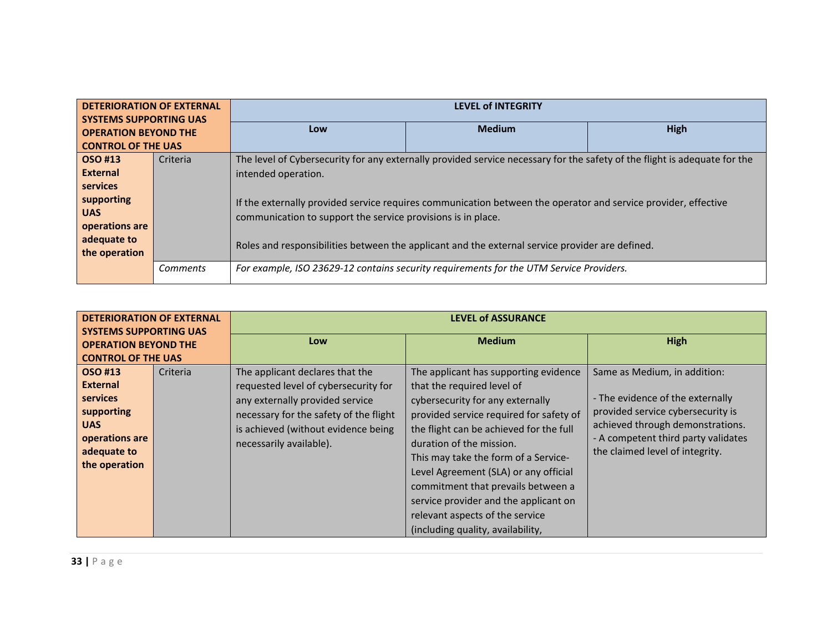| <b>DETERIORATION OF EXTERNAL</b><br><b>SYSTEMS SUPPORTING UAS</b> |                 |                                                                                                                | <b>LEVEL of INTEGRITY</b>                                                                                                 |      |  |  |
|-------------------------------------------------------------------|-----------------|----------------------------------------------------------------------------------------------------------------|---------------------------------------------------------------------------------------------------------------------------|------|--|--|
| <b>OPERATION BEYOND THE</b>                                       |                 | Low                                                                                                            | <b>Medium</b>                                                                                                             | High |  |  |
| <b>CONTROL OF THE UAS</b>                                         |                 |                                                                                                                |                                                                                                                           |      |  |  |
| OSO #13                                                           | Criteria        |                                                                                                                | The level of Cybersecurity for any externally provided service necessary for the safety of the flight is adequate for the |      |  |  |
| <b>External</b>                                                   |                 | intended operation.                                                                                            |                                                                                                                           |      |  |  |
| services                                                          |                 |                                                                                                                |                                                                                                                           |      |  |  |
| supporting                                                        |                 | If the externally provided service requires communication between the operator and service provider, effective |                                                                                                                           |      |  |  |
| <b>UAS</b>                                                        |                 | communication to support the service provisions is in place.                                                   |                                                                                                                           |      |  |  |
| operations are                                                    |                 |                                                                                                                |                                                                                                                           |      |  |  |
| adequate to                                                       |                 | Roles and responsibilities between the applicant and the external service provider are defined.                |                                                                                                                           |      |  |  |
| the operation                                                     |                 |                                                                                                                |                                                                                                                           |      |  |  |
|                                                                   | <b>Comments</b> |                                                                                                                | For example, ISO 23629-12 contains security requirements for the UTM Service Providers.                                   |      |  |  |

| <b>DETERIORATION OF EXTERNAL</b><br><b>SYSTEMS SUPPORTING UAS</b><br><b>OPERATION BEYOND THE</b><br><b>CONTROL OF THE UAS</b> |          | <b>LEVEL of ASSURANCE</b>                                                                                                                                                                                              |                                                                                                                                                                                                                                                                                                                                                                                                                                                                   |                                                                                                                                                                                                                     |
|-------------------------------------------------------------------------------------------------------------------------------|----------|------------------------------------------------------------------------------------------------------------------------------------------------------------------------------------------------------------------------|-------------------------------------------------------------------------------------------------------------------------------------------------------------------------------------------------------------------------------------------------------------------------------------------------------------------------------------------------------------------------------------------------------------------------------------------------------------------|---------------------------------------------------------------------------------------------------------------------------------------------------------------------------------------------------------------------|
|                                                                                                                               |          | Low                                                                                                                                                                                                                    | <b>Medium</b>                                                                                                                                                                                                                                                                                                                                                                                                                                                     | High                                                                                                                                                                                                                |
| OSO #13<br><b>External</b><br>services<br>supporting<br><b>UAS</b><br>operations are<br>adequate to<br>the operation          | Criteria | The applicant declares that the<br>requested level of cybersecurity for<br>any externally provided service<br>necessary for the safety of the flight<br>is achieved (without evidence being<br>necessarily available). | The applicant has supporting evidence<br>that the required level of<br>cybersecurity for any externally<br>provided service required for safety of<br>the flight can be achieved for the full<br>duration of the mission.<br>This may take the form of a Service-<br>Level Agreement (SLA) or any official<br>commitment that prevails between a<br>service provider and the applicant on<br>relevant aspects of the service<br>(including quality, availability, | Same as Medium, in addition:<br>- The evidence of the externally<br>provided service cybersecurity is<br>achieved through demonstrations.<br>- A competent third party validates<br>the claimed level of integrity. |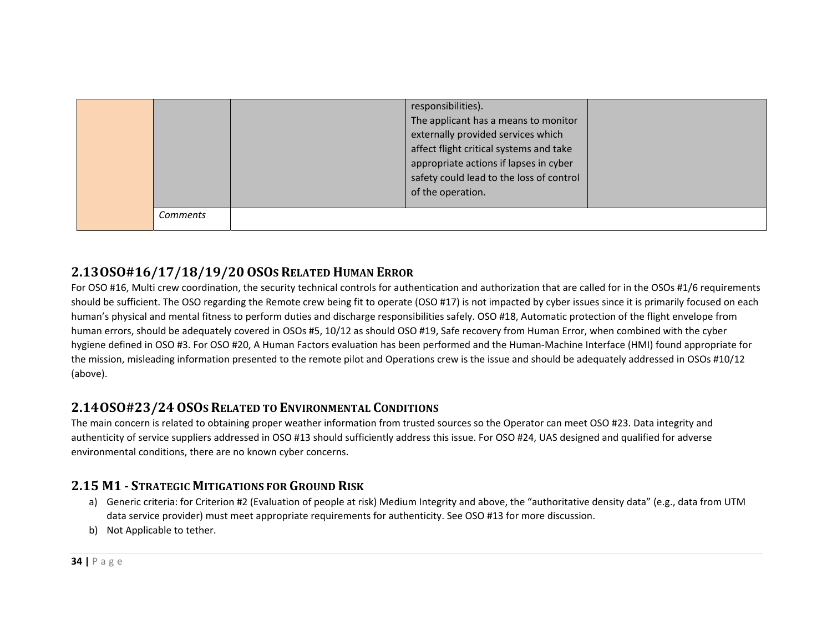|          | responsibilities).<br>The applicant has a means to monitor<br>externally provided services which<br>affect flight critical systems and take<br>appropriate actions if lapses in cyber<br>safety could lead to the loss of control<br>of the operation. |  |
|----------|--------------------------------------------------------------------------------------------------------------------------------------------------------------------------------------------------------------------------------------------------------|--|
| Comments |                                                                                                                                                                                                                                                        |  |

# **2.13OSO#16/17/18/19/20 OSOS RELATED HUMAN ERROR**

For OSO #16, Multi crew coordination, the security technical controls for authentication and authorization that are called for in the OSOs #1/6 requirements should be sufficient. The OSO regarding the Remote crew being fit to operate (OSO #17) is not impacted by cyber issues since it is primarily focused on each human's physical and mental fitness to perform duties and discharge responsibilities safely. OSO #18, Automatic protection of the flight envelope from human errors, should be adequately covered in OSOs #5, 10/12 as should OSO #19, Safe recovery from Human Error, when combined with the cyber hygiene defined in OSO #3. For OSO #20, A Human Factors evaluation has been performed and the Human‐Machine Interface (HMI) found appropriate for the mission, misleading information presented to the remote pilot and Operations crew is the issue and should be adequately addressed in OSOs #10/12 (above).

# **2.14OSO#23/24 OSOS RELATED TO ENVIRONMENTAL CONDITIONS**

The main concern is related to obtaining proper weather information from trusted sources so the Operator can meet OSO #23. Data integrity and authenticity of service suppliers addressed in OSO #13 should sufficiently address this issue. For OSO #24, UAS designed and qualified for adverse environmental conditions, there are no known cyber concerns.

# **2.15 M1 ‐ STRATEGIC MITIGATIONS FOR GROUND RISK**

- a) Generic criteria: for Criterion #2 (Evaluation of people at risk) Medium Integrity and above, the "authoritative density data" (e.g., data from UTM data service provider) must meet appropriate requirements for authenticity. See OSO #13 for more discussion.
- b) Not Applicable to tether.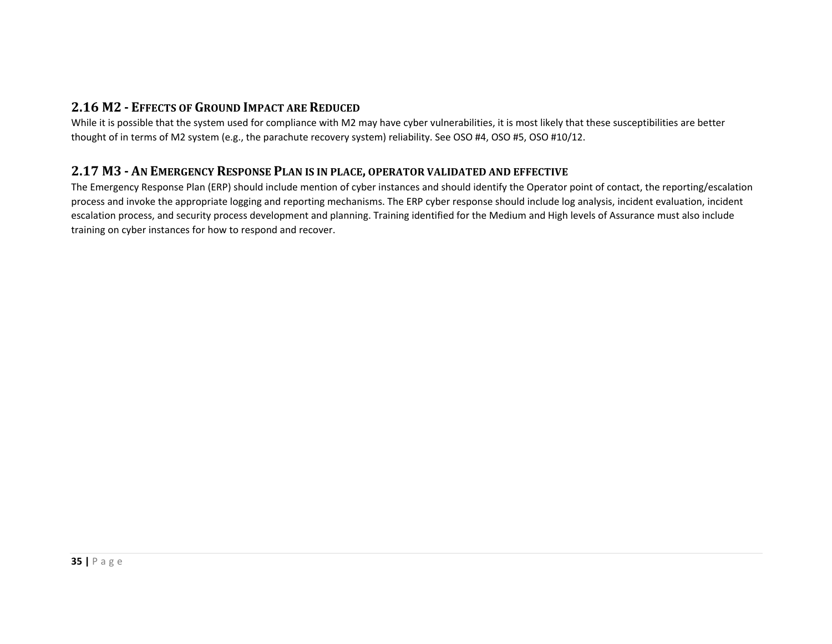# **2.16 M2 ‐ EFFECTS OF GROUND IMPACT ARE REDUCED**

While it is possible that the system used for compliance with M2 may have cyber vulnerabilities, it is most likely that these susceptibilities are better thought of in terms of M2 system (e.g., the parachute recovery system) reliability. See OSO #4, OSO #5, OSO #10/12.

# **2.17 M3 ‐ AN EMERGENCY RESPONSE PLAN IS IN PLACE, OPERATOR VALIDATED AND EFFECTIVE**

The Emergency Response Plan (ERP) should include mention of cyber instances and should identify the Operator point of contact, the reporting/escalation process and invoke the appropriate logging and reporting mechanisms. The ERP cyber response should include log analysis, incident evaluation, incident escalation process, and security process development and planning. Training identified for the Medium and High levels of Assurance must also include training on cyber instances for how to respond and recover.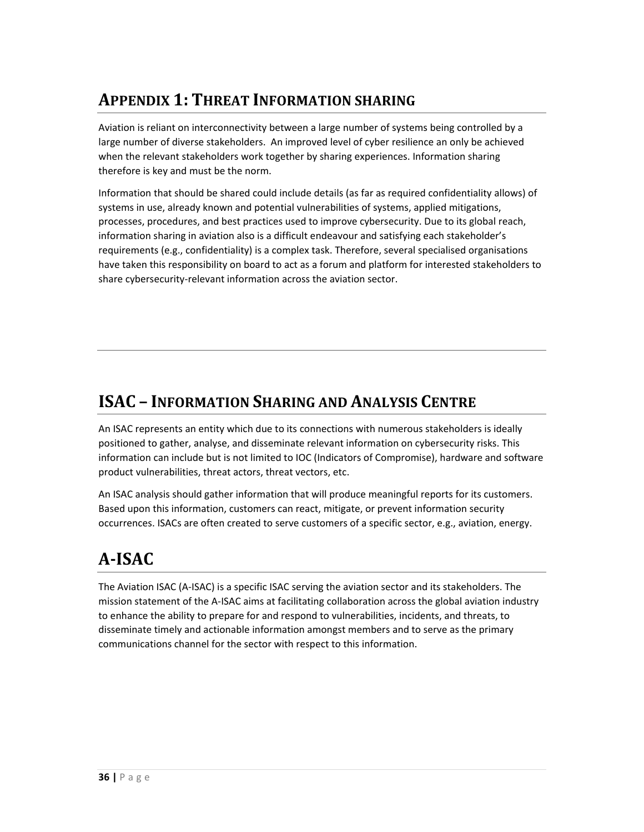# **APPENDIX 1: THREAT INFORMATION SHARING**

Aviation is reliant on interconnectivity between a large number of systems being controlled by a large number of diverse stakeholders. An improved level of cyber resilience an only be achieved when the relevant stakeholders work together by sharing experiences. Information sharing therefore is key and must be the norm.

Information that should be shared could include details (as far as required confidentiality allows) of systems in use, already known and potential vulnerabilities of systems, applied mitigations, processes, procedures, and best practices used to improve cybersecurity. Due to its global reach, information sharing in aviation also is a difficult endeavour and satisfying each stakeholder's requirements (e.g., confidentiality) is a complex task. Therefore, several specialised organisations have taken this responsibility on board to act as a forum and platform for interested stakeholders to share cybersecurity‐relevant information across the aviation sector.

# **ISAC – INFORMATION SHARING AND ANALYSIS CENTRE**

An ISAC represents an entity which due to its connections with numerous stakeholders is ideally positioned to gather, analyse, and disseminate relevant information on cybersecurity risks. This information can include but is not limited to IOC (Indicators of Compromise), hardware and software product vulnerabilities, threat actors, threat vectors, etc.

An ISAC analysis should gather information that will produce meaningful reports for its customers. Based upon this information, customers can react, mitigate, or prevent information security occurrences. ISACs are often created to serve customers of a specific sector, e.g., aviation, energy.

# **A‐ISAC**

The Aviation ISAC (A‐ISAC) is a specific ISAC serving the aviation sector and its stakeholders. The mission statement of the A‐ISAC aims at facilitating collaboration across the global aviation industry to enhance the ability to prepare for and respond to vulnerabilities, incidents, and threats, to disseminate timely and actionable information amongst members and to serve as the primary communications channel for the sector with respect to this information.